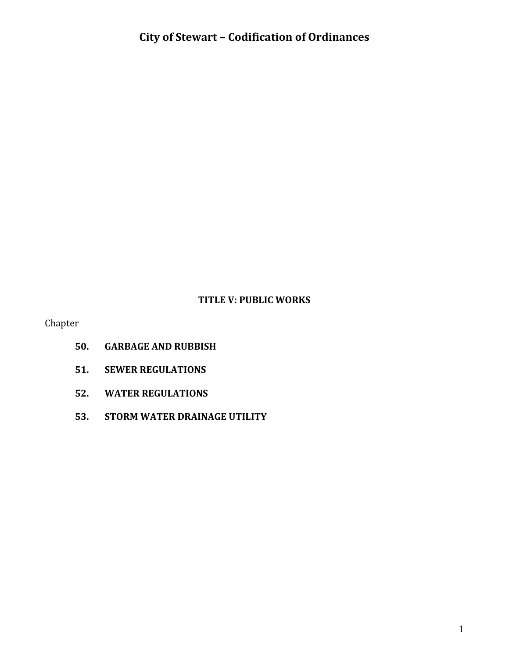#### **TITLE V: PUBLIC WORKS**

Chapter

- **50. GARBAGE AND RUBBISH**
- **51. SEWER REGULATIONS**
- **52. WATER REGULATIONS**
- **53. STORM WATER DRAINAGE UTILITY**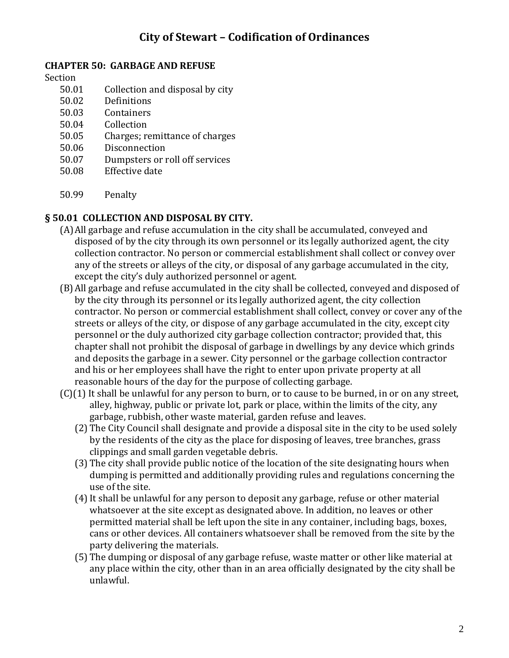#### **CHAPTER 50: GARBAGE AND REFUSE**

Section

- 50.01 Collection and disposal by city
- 50.02 Definitions
- 50.03 Containers
- 50.04 Collection
- 50.05 Charges; remittance of charges
- 50.06 Disconnection
- 50.07 Dumpsters or roll off services
- 50.08 Effective date
- 50.99 Penalty

### **§ 50.01 COLLECTION AND DISPOSAL BY CITY.**

- (A)All garbage and refuse accumulation in the city shall be accumulated, conveyed and disposed of by the city through its own personnel or its legally authorized agent, the city collection contractor. No person or commercial establishment shall collect or convey over any of the streets or alleys of the city, or disposal of any garbage accumulated in the city, except the city's duly authorized personnel or agent.
- (B)All garbage and refuse accumulated in the city shall be collected, conveyed and disposed of by the city through its personnel or its legally authorized agent, the city collection contractor. No person or commercial establishment shall collect, convey or cover any of the streets or alleys of the city, or dispose of any garbage accumulated in the city, except city personnel or the duly authorized city garbage collection contractor; provided that, this chapter shall not prohibit the disposal of garbage in dwellings by any device which grinds and deposits the garbage in a sewer. City personnel or the garbage collection contractor and his or her employees shall have the right to enter upon private property at all reasonable hours of the day for the purpose of collecting garbage.
- (C)(1) It shall be unlawful for any person to burn, or to cause to be burned, in or on any street, alley, highway, public or private lot, park or place, within the limits of the city, any garbage, rubbish, other waste material, garden refuse and leaves.
	- (2) The City Council shall designate and provide a disposal site in the city to be used solely by the residents of the city as the place for disposing of leaves, tree branches, grass clippings and small garden vegetable debris.
	- (3) The city shall provide public notice of the location of the site designating hours when dumping is permitted and additionally providing rules and regulations concerning the use of the site.
	- (4)It shall be unlawful for any person to deposit any garbage, refuse or other material whatsoever at the site except as designated above. In addition, no leaves or other permitted material shall be left upon the site in any container, including bags, boxes, cans or other devices. All containers whatsoever shall be removed from the site by the party delivering the materials.
	- (5) The dumping or disposal of any garbage refuse, waste matter or other like material at any place within the city, other than in an area officially designated by the city shall be unlawful.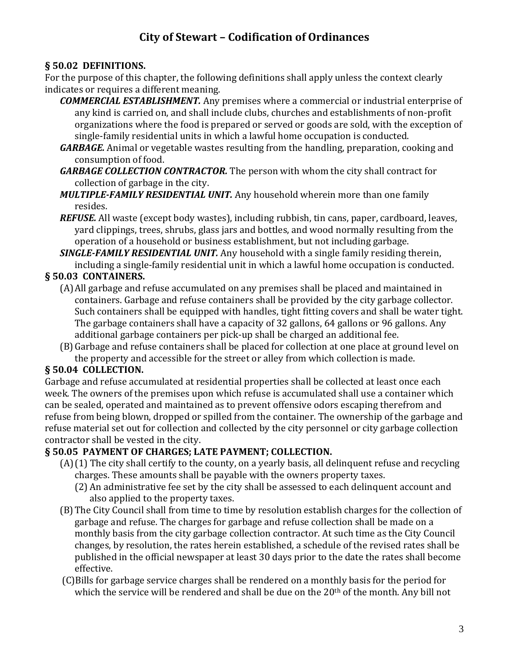### **§ 50.02 DEFINITIONS.**

For the purpose of this chapter, the following definitions shall apply unless the context clearly indicates or requires a different meaning.

*COMMERCIAL ESTABLISHMENT.* Any premises where a commercial or industrial enterprise of any kind is carried on, and shall include clubs, churches and establishments of non-profit organizations where the food is prepared or served or goods are sold, with the exception of single-family residential units in which a lawful home occupation is conducted.

- *GARBAGE.* Animal or vegetable wastes resulting from the handling, preparation, cooking and consumption of food.
- *GARBAGE COLLECTION CONTRACTOR.* The person with whom the city shall contract for collection of garbage in the city.
- *MULTIPLE-FAMILY RESIDENTIAL UNIT.* Any household wherein more than one family resides.
- *REFUSE.* All waste (except body wastes), including rubbish, tin cans, paper, cardboard, leaves, yard clippings, trees, shrubs, glass jars and bottles, and wood normally resulting from the operation of a household or business establishment, but not including garbage.
- *SINGLE-FAMILY RESIDENTIAL UNIT.* Any household with a single family residing therein, including a single-family residential unit in which a lawful home occupation is conducted.

### **§ 50.03 CONTAINERS.**

- (A)All garbage and refuse accumulated on any premises shall be placed and maintained in containers. Garbage and refuse containers shall be provided by the city garbage collector. Such containers shall be equipped with handles, tight fitting covers and shall be water tight. The garbage containers shall have a capacity of 32 gallons, 64 gallons or 96 gallons. Any additional garbage containers per pick-up shall be charged an additional fee.
- (B)Garbage and refuse containers shall be placed for collection at one place at ground level on the property and accessible for the street or alley from which collection is made.

### **§ 50.04 COLLECTION.**

Garbage and refuse accumulated at residential properties shall be collected at least once each week. The owners of the premises upon which refuse is accumulated shall use a container which can be sealed, operated and maintained as to prevent offensive odors escaping therefrom and refuse from being blown, dropped or spilled from the container. The ownership of the garbage and refuse material set out for collection and collected by the city personnel or city garbage collection contractor shall be vested in the city.

### **§ 50.05 PAYMENT OF CHARGES; LATE PAYMENT; COLLECTION.**

- (A)(1) The city shall certify to the county, on a yearly basis, all delinquent refuse and recycling charges. These amounts shall be payable with the owners property taxes.
	- (2) An administrative fee set by the city shall be assessed to each delinquent account and also applied to the property taxes.
- (B)The City Council shall from time to time by resolution establish charges for the collection of garbage and refuse. The charges for garbage and refuse collection shall be made on a monthly basis from the city garbage collection contractor. At such time as the City Council changes, by resolution, the rates herein established, a schedule of the revised rates shall be published in the official newspaper at least 30 days prior to the date the rates shall become effective.
- (C)Bills for garbage service charges shall be rendered on a monthly basis for the period for which the service will be rendered and shall be due on the  $20<sup>th</sup>$  of the month. Any bill not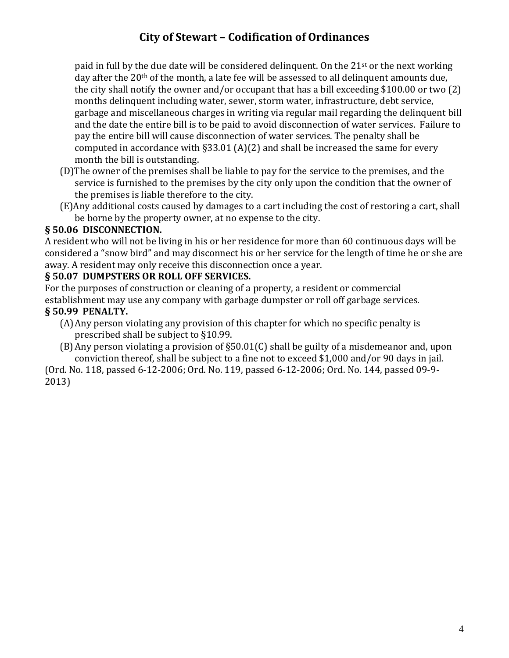paid in full by the due date will be considered delinquent. On the  $21<sup>st</sup>$  or the next working day after the 20<sup>th</sup> of the month, a late fee will be assessed to all delinquent amounts due, the city shall notify the owner and/or occupant that has a bill exceeding \$100.00 or two (2) months delinquent including water, sewer, storm water, infrastructure, debt service, garbage and miscellaneous charges in writing via regular mail regarding the delinquent bill and the date the entire bill is to be paid to avoid disconnection of water services. Failure to pay the entire bill will cause disconnection of water services. The penalty shall be computed in accordance with  $\S 33.01$  (A)(2) and shall be increased the same for every month the bill is outstanding.

- (D)The owner of the premises shall be liable to pay for the service to the premises, and the service is furnished to the premises by the city only upon the condition that the owner of the premises is liable therefore to the city.
- (E)Any additional costs caused by damages to a cart including the cost of restoring a cart, shall be borne by the property owner, at no expense to the city.

### **§ 50.06 DISCONNECTION.**

A resident who will not be living in his or her residence for more than 60 continuous days will be considered a "snow bird" and may disconnect his or her service for the length of time he or she are away. A resident may only receive this disconnection once a year.

### **§ 50.07 DUMPSTERS OR ROLL OFF SERVICES.**

For the purposes of construction or cleaning of a property, a resident or commercial establishment may use any company with garbage dumpster or roll off garbage services. **§ 50.99 PENALTY.**

- (A)Any person violating any provision of this chapter for which no specific penalty is prescribed shall be subject to §10.99.
- (B)Any person violating a provision of §50.01(C) shall be guilty of a misdemeanor and, upon conviction thereof, shall be subject to a fine not to exceed \$1,000 and/or 90 days in jail.

(Ord. No. 118, passed 6-12-2006; Ord. No. 119, passed 6-12-2006; Ord. No. 144, passed 09-9- 2013)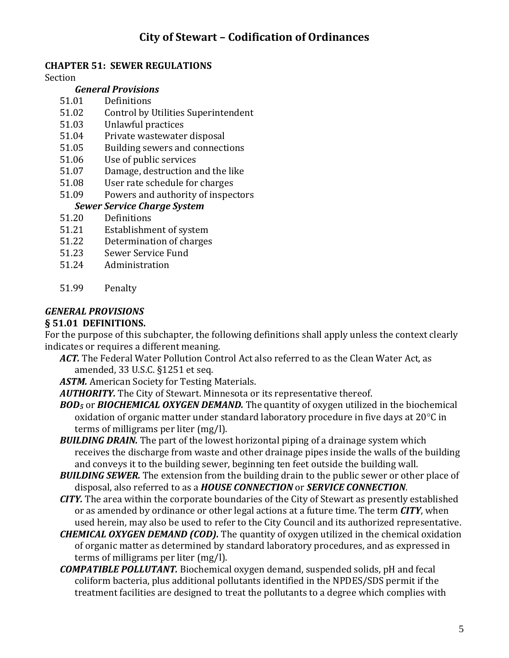### **CHAPTER 51: SEWER REGULATIONS**

Section

#### *General Provisions*

- 51.01 Definitions
- 51.02 Control by Utilities Superintendent
- 51.03 Unlawful practices
- 51.04 Private wastewater disposal
- 51.05 Building sewers and connections
- 51.06 Use of public services
- 51.07 Damage, destruction and the like
- 51.08 User rate schedule for charges
- 51.09 Powers and authority of inspectors

### *Sewer Service Charge System*

- 51.20 Definitions
- 51.21 Establishment of system
- 51.22 Determination of charges
- 51.23 Sewer Service Fund
- 51.24 Administration
- 51.99 Penalty

# *GENERAL PROVISIONS*

#### **§ 51.01 DEFINITIONS.**

For the purpose of this subchapter, the following definitions shall apply unless the context clearly indicates or requires a different meaning.

*ACT.* The Federal Water Pollution Control Act also referred to as the Clean Water Act, as amended, 33 U.S.C. §1251 et seq.

*ASTM.* American Society for Testing Materials.

*AUTHORITY.* The City of Stewart. Minnesota or its representative thereof.

*BOD<sup>5</sup>* or *BIOCHEMICAL OXYGEN DEMAND.* The quantity of oxygen utilized in the biochemical oxidation of organic matter under standard laboratory procedure in five days at  $20^{\circ}$ C in terms of milligrams per liter (mg/l).

- **BUILDING DRAIN.** The part of the lowest horizontal piping of a drainage system which receives the discharge from waste and other drainage pipes inside the walls of the building and conveys it to the building sewer, beginning ten feet outside the building wall.
- **BUILDING SEWER.** The extension from the building drain to the public sewer or other place of disposal, also referred to as a *HOUSE CONNECTION* or *SERVICE CONNECTION*.
- *CITY.* The area within the corporate boundaries of the City of Stewart as presently established or as amended by ordinance or other legal actions at a future time. The term *CITY*, when used herein, may also be used to refer to the City Council and its authorized representative.
- *CHEMICAL OXYGEN DEMAND (COD).* The quantity of oxygen utilized in the chemical oxidation of organic matter as determined by standard laboratory procedures, and as expressed in terms of milligrams per liter (mg/l).
- *COMPATIBLE POLLUTANT.* Biochemical oxygen demand, suspended solids, pH and fecal coliform bacteria, plus additional pollutants identified in the NPDES/SDS permit if the treatment facilities are designed to treat the pollutants to a degree which complies with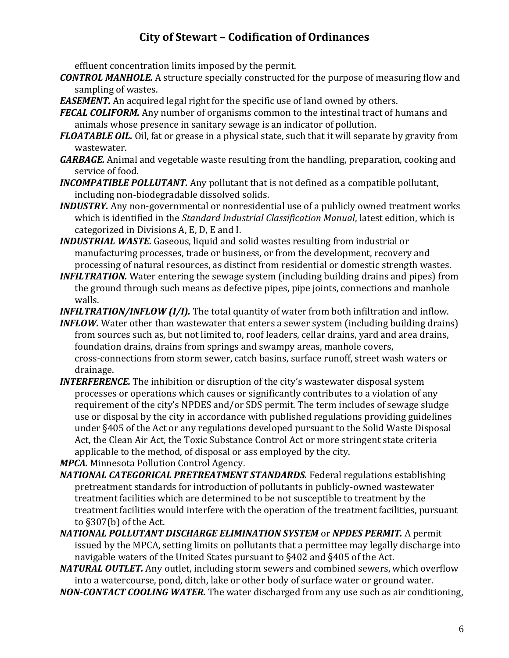effluent concentration limits imposed by the permit.

- *CONTROL MANHOLE.* A structure specially constructed for the purpose of measuring flow and sampling of wastes.
- *EASEMENT.* An acquired legal right for the specific use of land owned by others.
- *FECAL COLIFORM.* Any number of organisms common to the intestinal tract of humans and animals whose presence in sanitary sewage is an indicator of pollution.
- *FLOATABLE OIL.* Oil, fat or grease in a physical state, such that it will separate by gravity from wastewater.
- *GARBAGE.* Animal and vegetable waste resulting from the handling, preparation, cooking and service of food.
- *INCOMPATIBLE POLLUTANT.* Any pollutant that is not defined as a compatible pollutant, including non-biodegradable dissolved solids.
- *INDUSTRY.* Any non-governmental or nonresidential use of a publicly owned treatment works which is identified in the *Standard Industrial Classification Manual*, latest edition, which is categorized in Divisions A, E, D, E and I.
- *INDUSTRIAL WASTE.* Gaseous, liquid and solid wastes resulting from industrial or manufacturing processes, trade or business, or from the development, recovery and processing of natural resources, as distinct from residential or domestic strength wastes.
- *INFILTRATION.* Water entering the sewage system (including building drains and pipes) from the ground through such means as defective pipes, pipe joints, connections and manhole walls.
- *INFILTRATION/INFLOW (I/I).* The total quantity of water from both infiltration and inflow.
- *INFLOW.* Water other than wastewater that enters a sewer system (including building drains) from sources such as, but not limited to, roof leaders, cellar drains, yard and area drains, foundation drains, drains from springs and swampy areas, manhole covers, cross-connections from storm sewer, catch basins, surface runoff, street wash waters or drainage.
- *INTERFERENCE.* The inhibition or disruption of the city's wastewater disposal system processes or operations which causes or significantly contributes to a violation of any requirement of the city's NPDES and/or SDS permit. The term includes of sewage sludge use or disposal by the city in accordance with published regulations providing guidelines under §405 of the Act or any regulations developed pursuant to the Solid Waste Disposal Act, the Clean Air Act, the Toxic Substance Control Act or more stringent state criteria applicable to the method, of disposal or ass employed by the city.
- *MPCA.* Minnesota Pollution Control Agency.
- *NATIONAL CATEGORICAL PRETREATMENT STANDARDS.* Federal regulations establishing pretreatment standards for introduction of pollutants in publicly-owned wastewater treatment facilities which are determined to be not susceptible to treatment by the treatment facilities would interfere with the operation of the treatment facilities, pursuant to §307(b) of the Act.
- *NATIONAL POLLUTANT DISCHARGE ELIMINATION SYSTEM* or *NPDES PERMIT.* A permit issued by the MPCA, setting limits on pollutants that a permittee may legally discharge into navigable waters of the United States pursuant to §402 and §405 of the Act.
- *NATURAL OUTLET.* Any outlet, including storm sewers and combined sewers, which overflow into a watercourse, pond, ditch, lake or other body of surface water or ground water.
- *NON-CONTACT COOLING WATER.* The water discharged from any use such as air conditioning,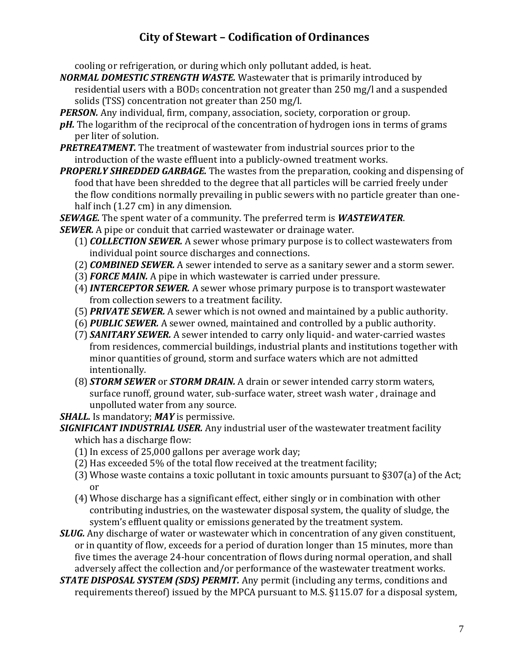cooling or refrigeration, or during which only pollutant added, is heat.

*NORMAL DOMESTIC STRENGTH WASTE.* Wastewater that is primarily introduced by residential users with a  $BOD<sub>5</sub>$  concentration not greater than 250 mg/l and a suspended solids (TSS) concentration not greater than 250 mg/l.

*PERSON.* Any individual, firm, company, association, society, corporation or group.

- *pH.* The logarithm of the reciprocal of the concentration of hydrogen ions in terms of grams per liter of solution.
- *PRETREATMENT.* The treatment of wastewater from industrial sources prior to the introduction of the waste effluent into a publicly-owned treatment works.
- *PROPERLY SHREDDED GARBAGE.* The wastes from the preparation, cooking and dispensing of food that have been shredded to the degree that all particles will be carried freely under the flow conditions normally prevailing in public sewers with no particle greater than onehalf inch (1.27 cm) in any dimension.

*SEWAGE.* The spent water of a community. The preferred term is *WASTEWATER*.

*SEWER.* A pipe or conduit that carried wastewater or drainage water.

- (1) *COLLECTION SEWER.* A sewer whose primary purpose is to collect wastewaters from individual point source discharges and connections.
- (2) *COMBINED SEWER.* A sewer intended to serve as a sanitary sewer and a storm sewer.
- (3) *FORCE MAIN.* A pipe in which wastewater is carried under pressure.
- (4)*INTERCEPTOR SEWER.* A sewer whose primary purpose is to transport wastewater from collection sewers to a treatment facility.
- (5) *PRIVATE SEWER.* A sewer which is not owned and maintained by a public authority.
- (6) *PUBLIC SEWER.* A sewer owned, maintained and controlled by a public authority.
- (7) *SANITARY SEWER.* A sewer intended to carry only liquid- and water-carried wastes from residences, commercial buildings, industrial plants and institutions together with minor quantities of ground, storm and surface waters which are not admitted intentionally.
- (8) *STORM SEWER* or *STORM DRAIN.* A drain or sewer intended carry storm waters, surface runoff, ground water, sub-surface water, street wash water , drainage and unpolluted water from any source.

*SHALL.* Is mandatory; *MAY* is permissive.

*SIGNIFICANT INDUSTRIAL USER.* Any industrial user of the wastewater treatment facility which has a discharge flow:

- $(1)$  In excess of 25,000 gallons per average work day;
- (2) Has exceeded 5% of the total flow received at the treatment facility;
- (3) Whose waste contains a toxic pollutant in toxic amounts pursuant to §307(a) of the Act; or
- (4) Whose discharge has a significant effect, either singly or in combination with other contributing industries, on the wastewater disposal system, the quality of sludge, the system's effluent quality or emissions generated by the treatment system.
- *SLUG.* Any discharge of water or wastewater which in concentration of any given constituent, or in quantity of flow, exceeds for a period of duration longer than 15 minutes, more than five times the average 24-hour concentration of flows during normal operation, and shall adversely affect the collection and/or performance of the wastewater treatment works.
- *STATE DISPOSAL SYSTEM (SDS) PERMIT.* Any permit (including any terms, conditions and requirements thereof) issued by the MPCA pursuant to M.S. §115.07 for a disposal system,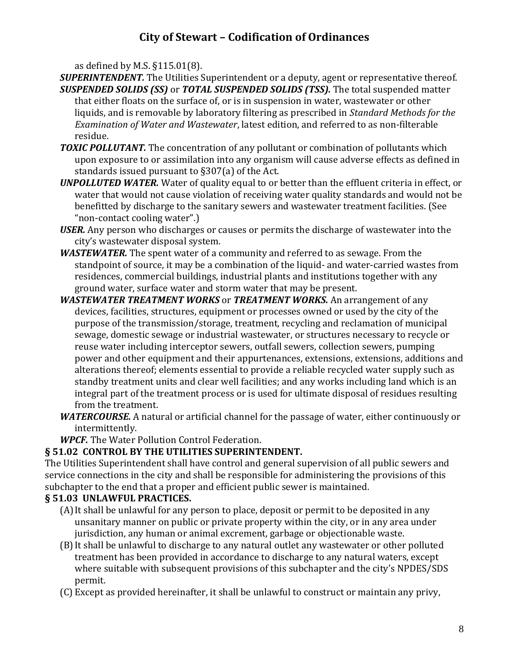as defined by M.S. §115.01(8).

- *SUPERINTENDENT.* The Utilities Superintendent or a deputy, agent or representative thereof. *SUSPENDED SOLIDS (SS)* or *TOTAL SUSPENDED SOLIDS (TSS).* The total suspended matter that either floats on the surface of, or is in suspension in water, wastewater or other liquids, and is removable by laboratory filtering as prescribed in *Standard Methods for the Examination of Water and Wastewater*, latest edition, and referred to as non-filterable residue.
- **TOXIC POLLUTANT.** The concentration of any pollutant or combination of pollutants which upon exposure to or assimilation into any organism will cause adverse effects as defined in standards issued pursuant to §307(a) of the Act.
- *UNPOLLUTED WATER.* Water of quality equal to or better than the effluent criteria in effect, or water that would not cause violation of receiving water quality standards and would not be benefitted by discharge to the sanitary sewers and wastewater treatment facilities. (See "non-contact cooling water".)
- *USER.* Any person who discharges or causes or permits the discharge of wastewater into the city's wastewater disposal system.
- *WASTEWATER.* The spent water of a community and referred to as sewage. From the standpoint of source, it may be a combination of the liquid- and water-carried wastes from residences, commercial buildings, industrial plants and institutions together with any ground water, surface water and storm water that may be present.
- *WASTEWATER TREATMENT WORKS* or *TREATMENT WORKS.* An arrangement of any devices, facilities, structures, equipment or processes owned or used by the city of the purpose of the transmission/storage, treatment, recycling and reclamation of municipal sewage, domestic sewage or industrial wastewater, or structures necessary to recycle or reuse water including interceptor sewers, outfall sewers, collection sewers, pumping power and other equipment and their appurtenances, extensions, extensions, additions and alterations thereof; elements essential to provide a reliable recycled water supply such as standby treatment units and clear well facilities; and any works including land which is an integral part of the treatment process or is used for ultimate disposal of residues resulting from the treatment.
- *WATERCOURSE.* A natural or artificial channel for the passage of water, either continuously or intermittently.
- *WPCF.* The Water Pollution Control Federation.

### **§ 51.02 CONTROL BY THE UTILITIES SUPERINTENDENT.**

The Utilities Superintendent shall have control and general supervision of all public sewers and service connections in the city and shall be responsible for administering the provisions of this subchapter to the end that a proper and efficient public sewer is maintained.

### **§ 51.03 UNLAWFUL PRACTICES.**

- (A)It shall be unlawful for any person to place, deposit or permit to be deposited in any unsanitary manner on public or private property within the city, or in any area under jurisdiction, any human or animal excrement, garbage or objectionable waste.
- (B)It shall be unlawful to discharge to any natural outlet any wastewater or other polluted treatment has been provided in accordance to discharge to any natural waters, except where suitable with subsequent provisions of this subchapter and the city's NPDES/SDS permit.
- (C) Except as provided hereinafter, it shall be unlawful to construct or maintain any privy,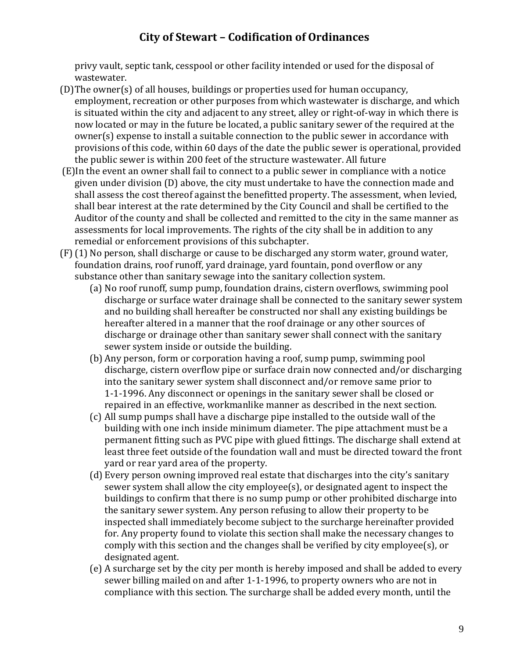privy vault, septic tank, cesspool or other facility intended or used for the disposal of wastewater.

- (D)The owner(s) of all houses, buildings or properties used for human occupancy, employment, recreation or other purposes from which wastewater is discharge, and which is situated within the city and adjacent to any street, alley or right-of-way in which there is now located or may in the future be located, a public sanitary sewer of the required at the owner(s) expense to install a suitable connection to the public sewer in accordance with provisions of this code, within 60 days of the date the public sewer is operational, provided the public sewer is within 200 feet of the structure wastewater. All future
- (E)In the event an owner shall fail to connect to a public sewer in compliance with a notice given under division (D) above, the city must undertake to have the connection made and shall assess the cost thereof against the benefitted property. The assessment, when levied, shall bear interest at the rate determined by the City Council and shall be certified to the Auditor of the county and shall be collected and remitted to the city in the same manner as assessments for local improvements. The rights of the city shall be in addition to any remedial or enforcement provisions of this subchapter.
- (F) (1) No person, shall discharge or cause to be discharged any storm water, ground water, foundation drains, roof runoff, yard drainage, yard fountain, pond overflow or any substance other than sanitary sewage into the sanitary collection system.
	- (a) No roof runoff, sump pump, foundation drains, cistern overflows, swimming pool discharge or surface water drainage shall be connected to the sanitary sewer system and no building shall hereafter be constructed nor shall any existing buildings be hereafter altered in a manner that the roof drainage or any other sources of discharge or drainage other than sanitary sewer shall connect with the sanitary sewer system inside or outside the building.
	- (b) Any person, form or corporation having a roof, sump pump, swimming pool discharge, cistern overflow pipe or surface drain now connected and/or discharging into the sanitary sewer system shall disconnect and/or remove same prior to 1-1-1996. Any disconnect or openings in the sanitary sewer shall be closed or repaired in an effective, workmanlike manner as described in the next section.
	- (c) All sump pumps shall have a discharge pipe installed to the outside wall of the building with one inch inside minimum diameter. The pipe attachment must be a permanent fitting such as PVC pipe with glued fittings. The discharge shall extend at least three feet outside of the foundation wall and must be directed toward the front yard or rear yard area of the property.
	- (d) Every person owning improved real estate that discharges into the city's sanitary sewer system shall allow the city employee(s), or designated agent to inspect the buildings to confirm that there is no sump pump or other prohibited discharge into the sanitary sewer system. Any person refusing to allow their property to be inspected shall immediately become subject to the surcharge hereinafter provided for. Any property found to violate this section shall make the necessary changes to comply with this section and the changes shall be verified by city employee(s), or designated agent.
	- (e) A surcharge set by the city per month is hereby imposed and shall be added to every sewer billing mailed on and after 1-1-1996, to property owners who are not in compliance with this section. The surcharge shall be added every month, until the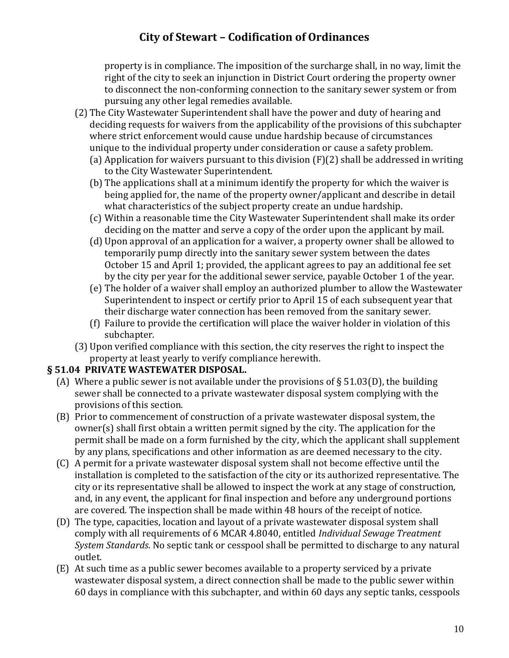property is in compliance. The imposition of the surcharge shall, in no way, limit the right of the city to seek an injunction in District Court ordering the property owner to disconnect the non-conforming connection to the sanitary sewer system or from pursuing any other legal remedies available.

- (2) The City Wastewater Superintendent shall have the power and duty of hearing and deciding requests for waivers from the applicability of the provisions of this subchapter where strict enforcement would cause undue hardship because of circumstances unique to the individual property under consideration or cause a safety problem.
	- (a) Application for waivers pursuant to this division (F)(2) shall be addressed in writing to the City Wastewater Superintendent.
	- (b) The applications shall at a minimum identify the property for which the waiver is being applied for, the name of the property owner/applicant and describe in detail what characteristics of the subject property create an undue hardship.
	- (c) Within a reasonable time the City Wastewater Superintendent shall make its order deciding on the matter and serve a copy of the order upon the applicant by mail.
	- (d) Upon approval of an application for a waiver, a property owner shall be allowed to temporarily pump directly into the sanitary sewer system between the dates October 15 and April 1; provided, the applicant agrees to pay an additional fee set by the city per year for the additional sewer service, payable October 1 of the year.
	- (e) The holder of a waiver shall employ an authorized plumber to allow the Wastewater Superintendent to inspect or certify prior to April 15 of each subsequent year that their discharge water connection has been removed from the sanitary sewer.
	- (f) Failure to provide the certification will place the waiver holder in violation of this subchapter.
- (3) Upon verified compliance with this section, the city reserves the right to inspect the property at least yearly to verify compliance herewith.

### **§ 51.04 PRIVATE WASTEWATER DISPOSAL.**

- (A) Where a public sewer is not available under the provisions of  $\S 51.03(D)$ , the building sewer shall be connected to a private wastewater disposal system complying with the provisions of this section.
- (B) Prior to commencement of construction of a private wastewater disposal system, the owner(s) shall first obtain a written permit signed by the city. The application for the permit shall be made on a form furnished by the city, which the applicant shall supplement by any plans, specifications and other information as are deemed necessary to the city.
- (C) A permit for a private wastewater disposal system shall not become effective until the installation is completed to the satisfaction of the city or its authorized representative. The city or its representative shall be allowed to inspect the work at any stage of construction, and, in any event, the applicant for final inspection and before any underground portions are covered. The inspection shall be made within 48 hours of the receipt of notice.
- (D) The type, capacities, location and layout of a private wastewater disposal system shall comply with all requirements of 6 MCAR 4.8040, entitled *Individual Sewage Treatment System Standards*. No septic tank or cesspool shall be permitted to discharge to any natural outlet.
- (E) At such time as a public sewer becomes available to a property serviced by a private wastewater disposal system, a direct connection shall be made to the public sewer within 60 days in compliance with this subchapter, and within 60 days any septic tanks, cesspools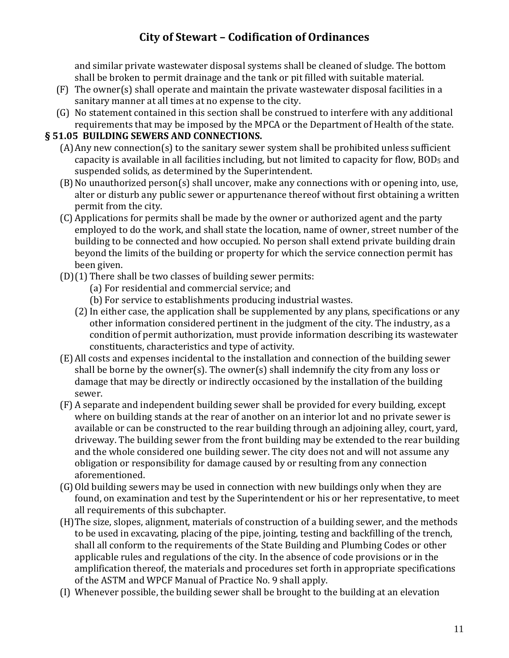and similar private wastewater disposal systems shall be cleaned of sludge. The bottom shall be broken to permit drainage and the tank or pit filled with suitable material.

- (F) The owner(s) shall operate and maintain the private wastewater disposal facilities in a sanitary manner at all times at no expense to the city.
- (G) No statement contained in this section shall be construed to interfere with any additional requirements that may be imposed by the MPCA or the Department of Health of the state.

### **§ 51.05 BUILDING SEWERS AND CONNECTIONS.**

- (A)Any new connection(s) to the sanitary sewer system shall be prohibited unless sufficient capacity is available in all facilities including, but not limited to capacity for flow, BOD<sub>5</sub> and suspended solids, as determined by the Superintendent.
- (B)No unauthorized person(s) shall uncover, make any connections with or opening into, use, alter or disturb any public sewer or appurtenance thereof without first obtaining a written permit from the city.
- (C) Applications for permits shall be made by the owner or authorized agent and the party employed to do the work, and shall state the location, name of owner, street number of the building to be connected and how occupied. No person shall extend private building drain beyond the limits of the building or property for which the service connection permit has been given.
- (D)(1) There shall be two classes of building sewer permits:
	- (a) For residential and commercial service; and
	- (b) For service to establishments producing industrial wastes.
	- (2) In either case, the application shall be supplemented by any plans, specifications or any other information considered pertinent in the judgment of the city. The industry, as a condition of permit authorization, must provide information describing its wastewater constituents, characteristics and type of activity.
- (E) All costs and expenses incidental to the installation and connection of the building sewer shall be borne by the owner(s). The owner(s) shall indemnify the city from any loss or damage that may be directly or indirectly occasioned by the installation of the building sewer.
- (F) A separate and independent building sewer shall be provided for every building, except where on building stands at the rear of another on an interior lot and no private sewer is available or can be constructed to the rear building through an adjoining alley, court, yard, driveway. The building sewer from the front building may be extended to the rear building and the whole considered one building sewer. The city does not and will not assume any obligation or responsibility for damage caused by or resulting from any connection aforementioned.
- (G)Old building sewers may be used in connection with new buildings only when they are found, on examination and test by the Superintendent or his or her representative, to meet all requirements of this subchapter.
- (H)The size, slopes, alignment, materials of construction of a building sewer, and the methods to be used in excavating, placing of the pipe, jointing, testing and backfilling of the trench, shall all conform to the requirements of the State Building and Plumbing Codes or other applicable rules and regulations of the city. In the absence of code provisions or in the amplification thereof, the materials and procedures set forth in appropriate specifications of the ASTM and WPCF Manual of Practice No. 9 shall apply.
- (I) Whenever possible, the building sewer shall be brought to the building at an elevation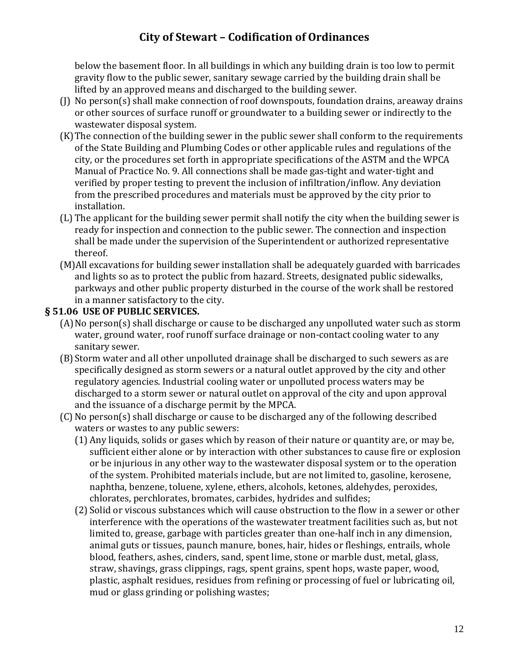below the basement floor. In all buildings in which any building drain is too low to permit gravity flow to the public sewer, sanitary sewage carried by the building drain shall be lifted by an approved means and discharged to the building sewer.

- (J) No person(s) shall make connection of roof downspouts, foundation drains, areaway drains or other sources of surface runoff or groundwater to a building sewer or indirectly to the wastewater disposal system.
- (K)The connection of the building sewer in the public sewer shall conform to the requirements of the State Building and Plumbing Codes or other applicable rules and regulations of the city, or the procedures set forth in appropriate specifications of the ASTM and the WPCA Manual of Practice No. 9. All connections shall be made gas-tight and water-tight and verified by proper testing to prevent the inclusion of infiltration/inflow. Any deviation from the prescribed procedures and materials must be approved by the city prior to installation.
- (L) The applicant for the building sewer permit shall notify the city when the building sewer is ready for inspection and connection to the public sewer. The connection and inspection shall be made under the supervision of the Superintendent or authorized representative thereof.
- (M)All excavations for building sewer installation shall be adequately guarded with barricades and lights so as to protect the public from hazard. Streets, designated public sidewalks, parkways and other public property disturbed in the course of the work shall be restored in a manner satisfactory to the city.

### **§ 51.06 USE OF PUBLIC SERVICES.**

- (A)No person(s) shall discharge or cause to be discharged any unpolluted water such as storm water, ground water, roof runoff surface drainage or non-contact cooling water to any sanitary sewer.
- (B)Storm water and all other unpolluted drainage shall be discharged to such sewers as are specifically designed as storm sewers or a natural outlet approved by the city and other regulatory agencies. Industrial cooling water or unpolluted process waters may be discharged to a storm sewer or natural outlet on approval of the city and upon approval and the issuance of a discharge permit by the MPCA.
- (C) No person(s) shall discharge or cause to be discharged any of the following described waters or wastes to any public sewers:
	- (1) Any liquids, solids or gases which by reason of their nature or quantity are, or may be, sufficient either alone or by interaction with other substances to cause fire or explosion or be injurious in any other way to the wastewater disposal system or to the operation of the system. Prohibited materials include, but are not limited to, gasoline, kerosene, naphtha, benzene, toluene, xylene, ethers, alcohols, ketones, aldehydes, peroxides, chlorates, perchlorates, bromates, carbides, hydrides and sulfides;
	- (2) Solid or viscous substances which will cause obstruction to the flow in a sewer or other interference with the operations of the wastewater treatment facilities such as, but not limited to, grease, garbage with particles greater than one-half inch in any dimension, animal guts or tissues, paunch manure, bones, hair, hides or fleshings, entrails, whole blood, feathers, ashes, cinders, sand, spent lime, stone or marble dust, metal, glass, straw, shavings, grass clippings, rags, spent grains, spent hops, waste paper, wood, plastic, asphalt residues, residues from refining or processing of fuel or lubricating oil, mud or glass grinding or polishing wastes;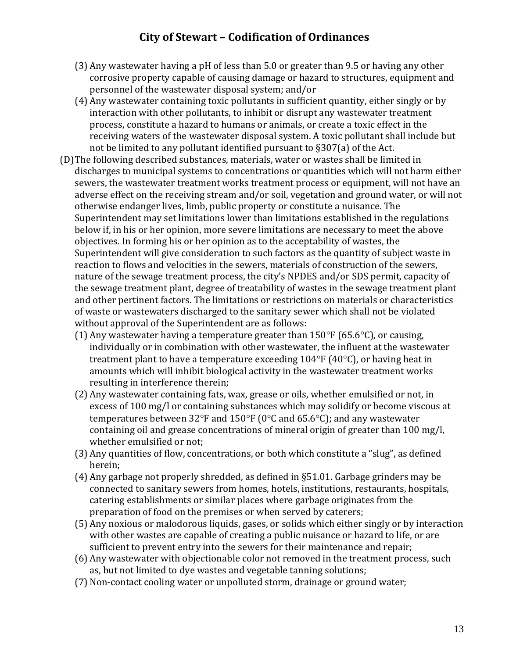- (3) Any wastewater having a pH of less than 5.0 or greater than 9.5 or having any other corrosive property capable of causing damage or hazard to structures, equipment and personnel of the wastewater disposal system; and/or
- (4) Any wastewater containing toxic pollutants in sufficient quantity, either singly or by interaction with other pollutants, to inhibit or disrupt any wastewater treatment process, constitute a hazard to humans or animals, or create a toxic effect in the receiving waters of the wastewater disposal system. A toxic pollutant shall include but not be limited to any pollutant identified pursuant to §307(a) of the Act.
- (D)The following described substances, materials, water or wastes shall be limited in discharges to municipal systems to concentrations or quantities which will not harm either sewers, the wastewater treatment works treatment process or equipment, will not have an adverse effect on the receiving stream and/or soil, vegetation and ground water, or will not otherwise endanger lives, limb, public property or constitute a nuisance. The Superintendent may set limitations lower than limitations established in the regulations below if, in his or her opinion, more severe limitations are necessary to meet the above objectives. In forming his or her opinion as to the acceptability of wastes, the Superintendent will give consideration to such factors as the quantity of subject waste in reaction to flows and velocities in the sewers, materials of construction of the sewers, nature of the sewage treatment process, the city's NPDES and/or SDS permit, capacity of the sewage treatment plant, degree of treatability of wastes in the sewage treatment plant and other pertinent factors. The limitations or restrictions on materials or characteristics of waste or wastewaters discharged to the sanitary sewer which shall not be violated without approval of the Superintendent are as follows:
	- (1) Any wastewater having a temperature greater than  $150^{\circ}$  F (65.6 $^{\circ}$ C), or causing, individually or in combination with other wastewater, the influent at the wastewater treatment plant to have a temperature exceeding  $104^{\circ}F(40^{\circ}C)$ , or having heat in amounts which will inhibit biological activity in the wastewater treatment works resulting in interference therein;
	- (2) Any wastewater containing fats, wax, grease or oils, whether emulsified or not, in excess of 100 mg/l or containing substances which may solidify or become viscous at temperatures between 32°F and 150°F (0°C and 65.6°C); and any wastewater containing oil and grease concentrations of mineral origin of greater than 100 mg/l, whether emulsified or not;
	- (3) Any quantities of flow, concentrations, or both which constitute a "slug", as defined herein;
	- (4) Any garbage not properly shredded, as defined in §51.01. Garbage grinders may be connected to sanitary sewers from homes, hotels, institutions, restaurants, hospitals, catering establishments or similar places where garbage originates from the preparation of food on the premises or when served by caterers;
	- (5) Any noxious or malodorous liquids, gases, or solids which either singly or by interaction with other wastes are capable of creating a public nuisance or hazard to life, or are sufficient to prevent entry into the sewers for their maintenance and repair;
	- (6) Any wastewater with objectionable color not removed in the treatment process, such as, but not limited to dye wastes and vegetable tanning solutions;
	- (7) Non-contact cooling water or unpolluted storm, drainage or ground water;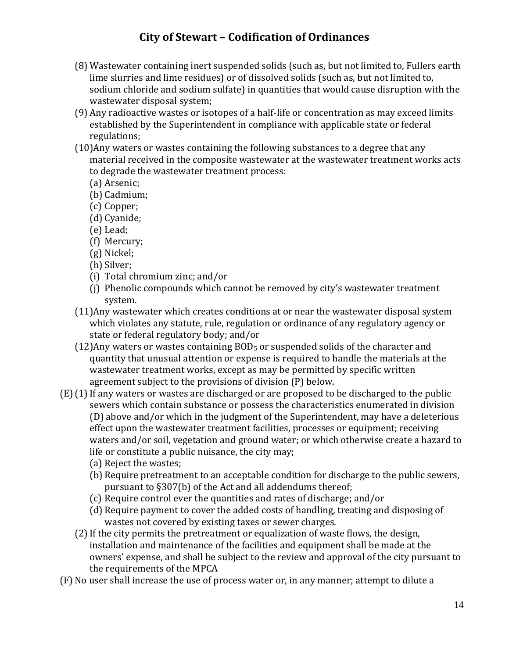- (8) Wastewater containing inert suspended solids (such as, but not limited to, Fullers earth lime slurries and lime residues) or of dissolved solids (such as, but not limited to, sodium chloride and sodium sulfate) in quantities that would cause disruption with the wastewater disposal system;
- (9) Any radioactive wastes or isotopes of a half-life or concentration as may exceed limits established by the Superintendent in compliance with applicable state or federal regulations;
- (10)Any waters or wastes containing the following substances to a degree that any material received in the composite wastewater at the wastewater treatment works acts to degrade the wastewater treatment process:
	- (a) Arsenic;
	- (b) Cadmium;
	- (c) Copper;
	- (d) Cyanide;
	- (e) Lead;
	- (f) Mercury;
	- (g) Nickel;
	- (h) Silver;
	- (i) Total chromium zinc; and/or
	- (j) Phenolic compounds which cannot be removed by city's wastewater treatment system.
- (11)Any wastewater which creates conditions at or near the wastewater disposal system which violates any statute, rule, regulation or ordinance of any regulatory agency or state or federal regulatory body; and/or
- $(12)$ Any waters or wastes containing BOD<sub>5</sub> or suspended solids of the character and quantity that unusual attention or expense is required to handle the materials at the wastewater treatment works, except as may be permitted by specific written agreement subject to the provisions of division (P) below.
- $(E)(1)$  If any waters or wastes are discharged or are proposed to be discharged to the public sewers which contain substance or possess the characteristics enumerated in division (D) above and/or which in the judgment of the Superintendent, may have a deleterious effect upon the wastewater treatment facilities, processes or equipment; receiving waters and/or soil, vegetation and ground water; or which otherwise create a hazard to life or constitute a public nuisance, the city may;
	- (a) Reject the wastes;
	- (b) Require pretreatment to an acceptable condition for discharge to the public sewers, pursuant to §307(b) of the Act and all addendums thereof;
	- (c) Require control ever the quantities and rates of discharge; and/or
	- (d) Require payment to cover the added costs of handling, treating and disposing of wastes not covered by existing taxes or sewer charges.
	- (2)If the city permits the pretreatment or equalization of waste flows, the design, installation and maintenance of the facilities and equipment shall be made at the owners' expense, and shall be subject to the review and approval of the city pursuant to the requirements of the MPCA
- (F) No user shall increase the use of process water or, in any manner; attempt to dilute a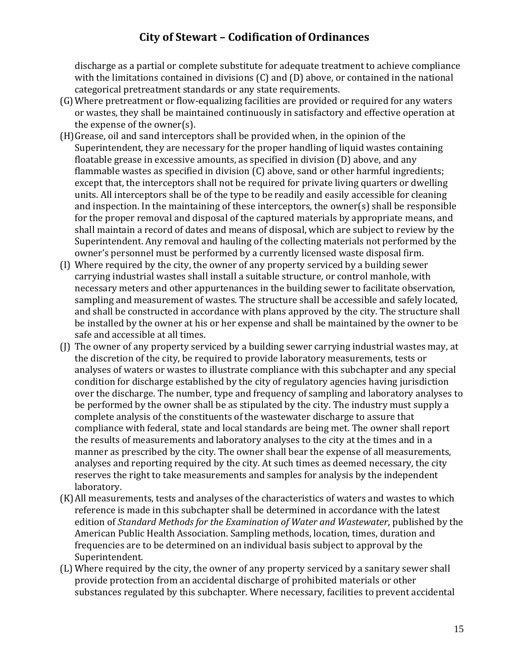discharge as a partial or complete substitute for adequate treatment to achieve compliance with the limitations contained in divisions (C) and (D) above, or contained in the national categorical pretreatment standards or any state requirements.

- (G)Where pretreatment or flow-equalizing facilities are provided or required for any waters or wastes, they shall be maintained continuously in satisfactory and effective operation at the expense of the owner(s).
- (H)Grease, oil and sand interceptors shall be provided when, in the opinion of the Superintendent, they are necessary for the proper handling of liquid wastes containing floatable grease in excessive amounts, as specified in division (D) above, and any flammable wastes as specified in division (C) above, sand or other harmful ingredients; except that, the interceptors shall not be required for private living quarters or dwelling units. All interceptors shall be of the type to be readily and easily accessible for cleaning and inspection. In the maintaining of these interceptors, the owner(s) shall be responsible for the proper removal and disposal of the captured materials by appropriate means, and shall maintain a record of dates and means of disposal, which are subject to review by the Superintendent. Any removal and hauling of the collecting materials not performed by the owner's personnel must be performed by a currently licensed waste disposal firm.
- (I) Where required by the city, the owner of any property serviced by a building sewer carrying industrial wastes shall install a suitable structure, or control manhole, with necessary meters and other appurtenances in the building sewer to facilitate observation, sampling and measurement of wastes. The structure shall be accessible and safely located, and shall be constructed in accordance with plans approved by the city. The structure shall be installed by the owner at his or her expense and shall be maintained by the owner to be safe and accessible at all times.
- (J) The owner of any property serviced by a building sewer carrying industrial wastes may, at the discretion of the city, be required to provide laboratory measurements, tests or analyses of waters or wastes to illustrate compliance with this subchapter and any special condition for discharge established by the city of regulatory agencies having jurisdiction over the discharge. The number, type and frequency of sampling and laboratory analyses to be performed by the owner shall be as stipulated by the city. The industry must supply a complete analysis of the constituents of the wastewater discharge to assure that compliance with federal, state and local standards are being met. The owner shall report the results of measurements and laboratory analyses to the city at the times and in a manner as prescribed by the city. The owner shall bear the expense of all measurements, analyses and reporting required by the city. At such times as deemed necessary, the city reserves the right to take measurements and samples for analysis by the independent laboratory.
- (K)All measurements, tests and analyses of the characteristics of waters and wastes to which reference is made in this subchapter shall be determined in accordance with the latest edition of *Standard Methods for the Examination of Water and Wastewater*, published by the American Public Health Association. Sampling methods, location, times, duration and frequencies are to be determined on an individual basis subject to approval by the Superintendent.
- (L) Where required by the city, the owner of any property serviced by a sanitary sewer shall provide protection from an accidental discharge of prohibited materials or other substances regulated by this subchapter. Where necessary, facilities to prevent accidental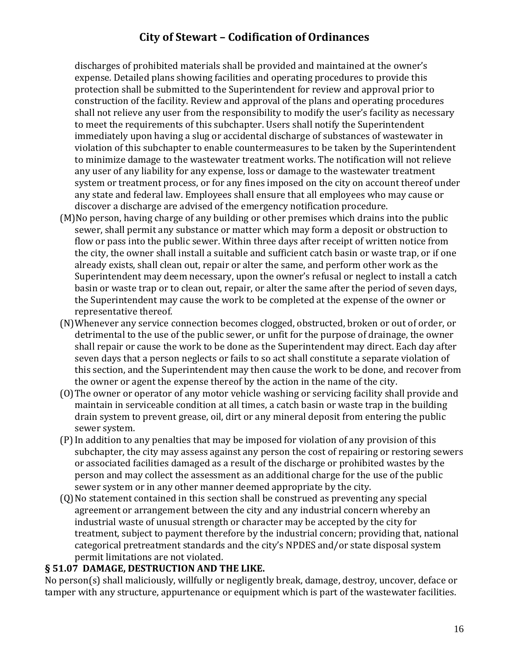discharges of prohibited materials shall be provided and maintained at the owner's expense. Detailed plans showing facilities and operating procedures to provide this protection shall be submitted to the Superintendent for review and approval prior to construction of the facility. Review and approval of the plans and operating procedures shall not relieve any user from the responsibility to modify the user's facility as necessary to meet the requirements of this subchapter. Users shall notify the Superintendent immediately upon having a slug or accidental discharge of substances of wastewater in violation of this subchapter to enable countermeasures to be taken by the Superintendent to minimize damage to the wastewater treatment works. The notification will not relieve any user of any liability for any expense, loss or damage to the wastewater treatment system or treatment process, or for any fines imposed on the city on account thereof under any state and federal law. Employees shall ensure that all employees who may cause or discover a discharge are advised of the emergency notification procedure.

- (M)No person, having charge of any building or other premises which drains into the public sewer, shall permit any substance or matter which may form a deposit or obstruction to flow or pass into the public sewer. Within three days after receipt of written notice from the city, the owner shall install a suitable and sufficient catch basin or waste trap, or if one already exists, shall clean out, repair or alter the same, and perform other work as the Superintendent may deem necessary, upon the owner's refusal or neglect to install a catch basin or waste trap or to clean out, repair, or alter the same after the period of seven days, the Superintendent may cause the work to be completed at the expense of the owner or representative thereof.
- (N)Whenever any service connection becomes clogged, obstructed, broken or out of order, or detrimental to the use of the public sewer, or unfit for the purpose of drainage, the owner shall repair or cause the work to be done as the Superintendent may direct. Each day after seven days that a person neglects or fails to so act shall constitute a separate violation of this section, and the Superintendent may then cause the work to be done, and recover from the owner or agent the expense thereof by the action in the name of the city.
- (O)The owner or operator of any motor vehicle washing or servicing facility shall provide and maintain in serviceable condition at all times, a catch basin or waste trap in the building drain system to prevent grease, oil, dirt or any mineral deposit from entering the public sewer system.
- (P)In addition to any penalties that may be imposed for violation of any provision of this subchapter, the city may assess against any person the cost of repairing or restoring sewers or associated facilities damaged as a result of the discharge or prohibited wastes by the person and may collect the assessment as an additional charge for the use of the public sewer system or in any other manner deemed appropriate by the city.
- (Q)No statement contained in this section shall be construed as preventing any special agreement or arrangement between the city and any industrial concern whereby an industrial waste of unusual strength or character may be accepted by the city for treatment, subject to payment therefore by the industrial concern; providing that, national categorical pretreatment standards and the city's NPDES and/or state disposal system permit limitations are not violated.

### **§ 51.07 DAMAGE, DESTRUCTION AND THE LIKE.**

No person(s) shall maliciously, willfully or negligently break, damage, destroy, uncover, deface or tamper with any structure, appurtenance or equipment which is part of the wastewater facilities.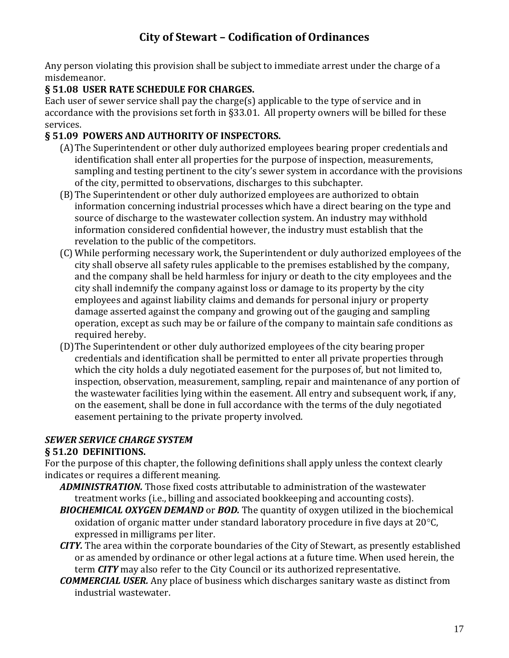Any person violating this provision shall be subject to immediate arrest under the charge of a misdemeanor.

### **§ 51.08 USER RATE SCHEDULE FOR CHARGES.**

Each user of sewer service shall pay the charge(s) applicable to the type of service and in accordance with the provisions set forth in §33.01. All property owners will be billed for these services.

### **§ 51.09 POWERS AND AUTHORITY OF INSPECTORS.**

- (A)The Superintendent or other duly authorized employees bearing proper credentials and identification shall enter all properties for the purpose of inspection, measurements, sampling and testing pertinent to the city's sewer system in accordance with the provisions of the city, permitted to observations, discharges to this subchapter.
- (B)The Superintendent or other duly authorized employees are authorized to obtain information concerning industrial processes which have a direct bearing on the type and source of discharge to the wastewater collection system. An industry may withhold information considered confidential however, the industry must establish that the revelation to the public of the competitors.
- (C) While performing necessary work, the Superintendent or duly authorized employees of the city shall observe all safety rules applicable to the premises established by the company, and the company shall be held harmless for injury or death to the city employees and the city shall indemnify the company against loss or damage to its property by the city employees and against liability claims and demands for personal injury or property damage asserted against the company and growing out of the gauging and sampling operation, except as such may be or failure of the company to maintain safe conditions as required hereby.
- (D)The Superintendent or other duly authorized employees of the city bearing proper credentials and identification shall be permitted to enter all private properties through which the city holds a duly negotiated easement for the purposes of, but not limited to, inspection, observation, measurement, sampling, repair and maintenance of any portion of the wastewater facilities lying within the easement. All entry and subsequent work, if any, on the easement, shall be done in full accordance with the terms of the duly negotiated easement pertaining to the private property involved.

#### *SEWER SERVICE CHARGE SYSTEM* **§ 51.20 DEFINITIONS.**

For the purpose of this chapter, the following definitions shall apply unless the context clearly indicates or requires a different meaning.

- *ADMINISTRATION.* Those fixed costs attributable to administration of the wastewater treatment works (i.e., billing and associated bookkeeping and accounting costs).
- *BIOCHEMICAL OXYGEN DEMAND* or *BOD.* The quantity of oxygen utilized in the biochemical oxidation of organic matter under standard laboratory procedure in five days at  $20^{\circ}$ C, expressed in milligrams per liter.
- *CITY.* The area within the corporate boundaries of the City of Stewart, as presently established or as amended by ordinance or other legal actions at a future time. When used herein, the term *CITY* may also refer to the City Council or its authorized representative.
- *COMMERCIAL USER.* Any place of business which discharges sanitary waste as distinct from industrial wastewater.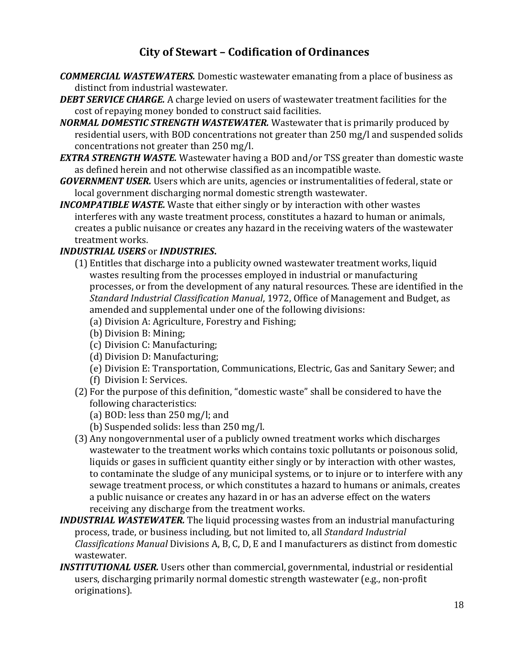- *COMMERCIAL WASTEWATERS.* Domestic wastewater emanating from a place of business as distinct from industrial wastewater.
- *DEBT SERVICE CHARGE.* A charge levied on users of wastewater treatment facilities for the cost of repaying money bonded to construct said facilities.
- *NORMAL DOMESTIC STRENGTH WASTEWATER.* Wastewater that is primarily produced by residential users, with BOD concentrations not greater than 250 mg/l and suspended solids concentrations not greater than 250 mg/l.
- *EXTRA STRENGTH WASTE.* Wastewater having a BOD and/or TSS greater than domestic waste as defined herein and not otherwise classified as an incompatible waste.
- *GOVERNMENT USER.* Users which are units, agencies or instrumentalities of federal, state or local government discharging normal domestic strength wastewater.
- *INCOMPATIBLE WASTE.* Waste that either singly or by interaction with other wastes interferes with any waste treatment process, constitutes a hazard to human or animals, creates a public nuisance or creates any hazard in the receiving waters of the wastewater treatment works.

### *INDUSTRIAL USERS* or *INDUSTRIES***.**

- (1) Entitles that discharge into a publicity owned wastewater treatment works, liquid wastes resulting from the processes employed in industrial or manufacturing processes, or from the development of any natural resources. These are identified in the *Standard Industrial Classification Manual*, 1972, Office of Management and Budget, as amended and supplemental under one of the following divisions:
	- (a) Division A: Agriculture, Forestry and Fishing;
	- (b) Division B: Mining;
	- (c) Division C: Manufacturing;
	- (d) Division D: Manufacturing;
	- (e) Division E: Transportation, Communications, Electric, Gas and Sanitary Sewer; and
	- (f) Division I: Services.
- (2) For the purpose of this definition, "domestic waste" shall be considered to have the following characteristics:
	- (a) BOD: less than 250 mg/l; and
	- (b) Suspended solids: less than 250 mg/l.
- (3) Any nongovernmental user of a publicly owned treatment works which discharges wastewater to the treatment works which contains toxic pollutants or poisonous solid, liquids or gases in sufficient quantity either singly or by interaction with other wastes, to contaminate the sludge of any municipal systems, or to injure or to interfere with any sewage treatment process, or which constitutes a hazard to humans or animals, creates a public nuisance or creates any hazard in or has an adverse effect on the waters receiving any discharge from the treatment works.
- *INDUSTRIAL WASTEWATER.* The liquid processing wastes from an industrial manufacturing process, trade, or business including, but not limited to, all *Standard Industrial Classifications Manual* Divisions A, B, C, D, E and I manufacturers as distinct from domestic wastewater.
- *INSTITUTIONAL USER.* Users other than commercial, governmental, industrial or residential users, discharging primarily normal domestic strength wastewater (e.g., non-profit originations).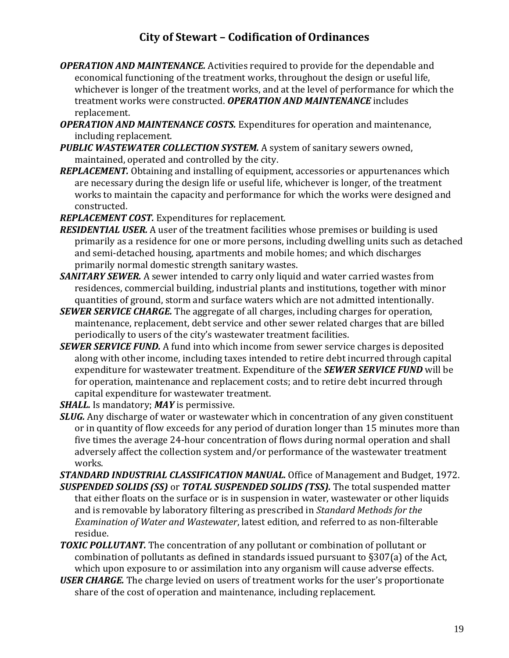- *OPERATION AND MAINTENANCE.* Activities required to provide for the dependable and economical functioning of the treatment works, throughout the design or useful life, whichever is longer of the treatment works, and at the level of performance for which the treatment works were constructed. *OPERATION AND MAINTENANCE* includes replacement.
- *OPERATION AND MAINTENANCE COSTS.* Expenditures for operation and maintenance, including replacement.
- *PUBLIC WASTEWATER COLLECTION SYSTEM.* A system of sanitary sewers owned, maintained, operated and controlled by the city.
- *REPLACEMENT.* Obtaining and installing of equipment, accessories or appurtenances which are necessary during the design life or useful life, whichever is longer, of the treatment works to maintain the capacity and performance for which the works were designed and constructed.
- *REPLACEMENT COST.* Expenditures for replacement.
- *RESIDENTIAL USER.* A user of the treatment facilities whose premises or building is used primarily as a residence for one or more persons, including dwelling units such as detached and semi-detached housing, apartments and mobile homes; and which discharges primarily normal domestic strength sanitary wastes.
- *SANITARY SEWER.* A sewer intended to carry only liquid and water carried wastes from residences, commercial building, industrial plants and institutions, together with minor quantities of ground, storm and surface waters which are not admitted intentionally.
- *SEWER SERVICE CHARGE.* The aggregate of all charges, including charges for operation, maintenance, replacement, debt service and other sewer related charges that are billed periodically to users of the city's wastewater treatment facilities.
- *SEWER SERVICE FUND.* A fund into which income from sewer service charges is deposited along with other income, including taxes intended to retire debt incurred through capital expenditure for wastewater treatment. Expenditure of the *SEWER SERVICE FUND* will be for operation, maintenance and replacement costs; and to retire debt incurred through capital expenditure for wastewater treatment.
- *SHALL.* Is mandatory; *MAY* is permissive.
- *SLUG.* Any discharge of water or wastewater which in concentration of any given constituent or in quantity of flow exceeds for any period of duration longer than 15 minutes more than five times the average 24-hour concentration of flows during normal operation and shall adversely affect the collection system and/or performance of the wastewater treatment works.

*STANDARD INDUSTRIAL CLASSIFICATION MANUAL.* Office of Management and Budget, 1972. *SUSPENDED SOLIDS (SS)* or *TOTAL SUSPENDED SOLIDS (TSS).* The total suspended matter that either floats on the surface or is in suspension in water, wastewater or other liquids and is removable by laboratory filtering as prescribed in *Standard Methods for the Examination of Water and Wastewater*, latest edition, and referred to as non-filterable residue.

- *TOXIC POLLUTANT.* The concentration of any pollutant or combination of pollutant or combination of pollutants as defined in standards issued pursuant to §307(a) of the Act, which upon exposure to or assimilation into any organism will cause adverse effects.
- *USER CHARGE.* The charge levied on users of treatment works for the user's proportionate share of the cost of operation and maintenance, including replacement.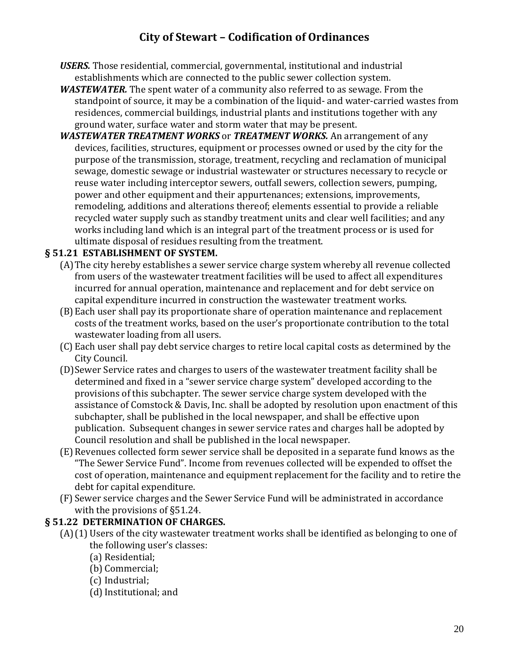- *USERS.* Those residential, commercial, governmental, institutional and industrial establishments which are connected to the public sewer collection system.
- *WASTEWATER.* The spent water of a community also referred to as sewage. From the standpoint of source, it may be a combination of the liquid- and water-carried wastes from residences, commercial buildings, industrial plants and institutions together with any ground water, surface water and storm water that may be present.
- *WASTEWATER TREATMENT WORKS* or *TREATMENT WORKS.* An arrangement of any devices, facilities, structures, equipment or processes owned or used by the city for the purpose of the transmission, storage, treatment, recycling and reclamation of municipal sewage, domestic sewage or industrial wastewater or structures necessary to recycle or reuse water including interceptor sewers, outfall sewers, collection sewers, pumping, power and other equipment and their appurtenances; extensions, improvements, remodeling, additions and alterations thereof; elements essential to provide a reliable recycled water supply such as standby treatment units and clear well facilities; and any works including land which is an integral part of the treatment process or is used for ultimate disposal of residues resulting from the treatment.

### **§ 51.21 ESTABLISHMENT OF SYSTEM.**

- (A)The city hereby establishes a sewer service charge system whereby all revenue collected from users of the wastewater treatment facilities will be used to affect all expenditures incurred for annual operation, maintenance and replacement and for debt service on capital expenditure incurred in construction the wastewater treatment works.
- (B)Each user shall pay its proportionate share of operation maintenance and replacement costs of the treatment works, based on the user's proportionate contribution to the total wastewater loading from all users.
- (C) Each user shall pay debt service charges to retire local capital costs as determined by the City Council.
- (D)Sewer Service rates and charges to users of the wastewater treatment facility shall be determined and fixed in a "sewer service charge system" developed according to the provisions of this subchapter. The sewer service charge system developed with the assistance of Comstock & Davis, Inc. shall be adopted by resolution upon enactment of this subchapter, shall be published in the local newspaper, and shall be effective upon publication. Subsequent changes in sewer service rates and charges hall be adopted by Council resolution and shall be published in the local newspaper.
- (E) Revenues collected form sewer service shall be deposited in a separate fund knows as the "The Sewer Service Fund". Income from revenues collected will be expended to offset the cost of operation, maintenance and equipment replacement for the facility and to retire the debt for capital expenditure.
- (F) Sewer service charges and the Sewer Service Fund will be administrated in accordance with the provisions of §51.24.

### **§ 51.22 DETERMINATION OF CHARGES.**

- (A)(1) Users of the city wastewater treatment works shall be identified as belonging to one of the following user's classes:
	- (a) Residential;
	- (b) Commercial;
	- (c) Industrial;
	- (d) Institutional; and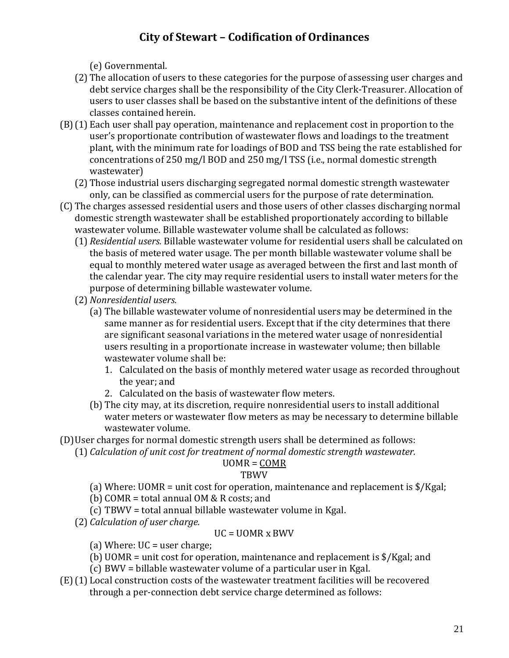(e) Governmental.

- (2) The allocation of users to these categories for the purpose of assessing user charges and debt service charges shall be the responsibility of the City Clerk-Treasurer. Allocation of users to user classes shall be based on the substantive intent of the definitions of these classes contained herein.
- (B)(1) Each user shall pay operation, maintenance and replacement cost in proportion to the user's proportionate contribution of wastewater flows and loadings to the treatment plant, with the minimum rate for loadings of BOD and TSS being the rate established for concentrations of 250 mg/l BOD and 250 mg/l TSS (i.e., normal domestic strength wastewater)
	- (2) Those industrial users discharging segregated normal domestic strength wastewater only, can be classified as commercial users for the purpose of rate determination.
- (C) The charges assessed residential users and those users of other classes discharging normal domestic strength wastewater shall be established proportionately according to billable wastewater volume. Billable wastewater volume shall be calculated as follows:
	- (1) *Residential users.* Billable wastewater volume for residential users shall be calculated on the basis of metered water usage. The per month billable wastewater volume shall be equal to monthly metered water usage as averaged between the first and last month of the calendar year. The city may require residential users to install water meters for the purpose of determining billable wastewater volume.
	- (2) *Nonresidential users.*
		- (a) The billable wastewater volume of nonresidential users may be determined in the same manner as for residential users. Except that if the city determines that there are significant seasonal variations in the metered water usage of nonresidential users resulting in a proportionate increase in wastewater volume; then billable wastewater volume shall be:
			- 1. Calculated on the basis of monthly metered water usage as recorded throughout the year; and
			- 2. Calculated on the basis of wastewater flow meters.
		- (b) The city may, at its discretion, require nonresidential users to install additional water meters or wastewater flow meters as may be necessary to determine billable wastewater volume.
- (D)User charges for normal domestic strength users shall be determined as follows:

(1) *Calculation of unit cost for treatment of normal domestic strength wastewater.*

### UOMR = COMR

### TBWV

- (a) Where: UOMR = unit cost for operation, maintenance and replacement is \$/Kgal;
- (b) COMR = total annual OM & R costs; and
- (c) TBWV = total annual billable wastewater volume in Kgal.
- (2) *Calculation of user charge.*

### UC = UOMR x BWV

- (a) Where:  $UC = user charge$ ;
- (b) UOMR = unit cost for operation, maintenance and replacement is \$/Kgal; and
- (c) BWV = billable wastewater volume of a particular user in Kgal.
- (E)(1) Local construction costs of the wastewater treatment facilities will be recovered through a per-connection debt service charge determined as follows: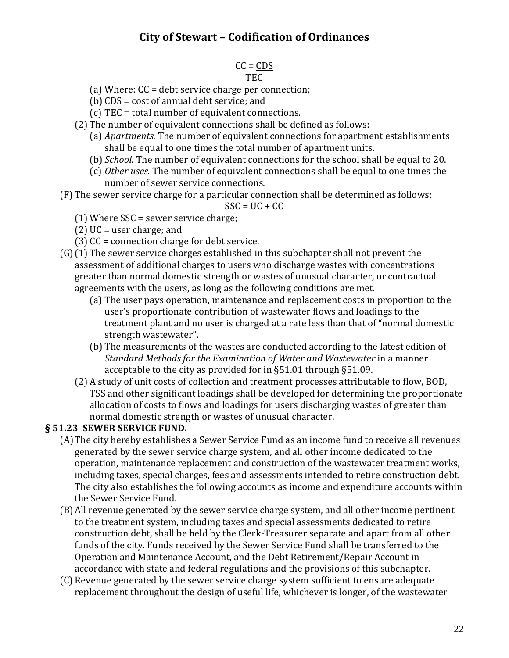#### $CC = CDS$ TEC

- (a) Where: CC = debt service charge per connection;
- (b) CDS = cost of annual debt service; and
- (c) TEC = total number of equivalent connections.
- (2) The number of equivalent connections shall be defined as follows:
	- (a) *Apartments.* The number of equivalent connections for apartment establishments shall be equal to one times the total number of apartment units.
	- (b) *School.* The number of equivalent connections for the school shall be equal to 20.
	- (c) *Other uses.* The number of equivalent connections shall be equal to one times the number of sewer service connections.
- (F) The sewer service charge for a particular connection shall be determined as follows:

 $SSC = UC + CC$ 

- $(1)$  Where SSC = sewer service charge;
- (2) UC = user charge; and
- (3) CC = connection charge for debt service.
- (G)(1) The sewer service charges established in this subchapter shall not prevent the assessment of additional charges to users who discharge wastes with concentrations greater than normal domestic strength or wastes of unusual character, or contractual agreements with the users, as long as the following conditions are met.
	- (a) The user pays operation, maintenance and replacement costs in proportion to the user's proportionate contribution of wastewater flows and loadings to the treatment plant and no user is charged at a rate less than that of "normal domestic strength wastewater".
	- (b) The measurements of the wastes are conducted according to the latest edition of *Standard Methods for the Examination of Water and Wastewater* in a manner acceptable to the city as provided for in §51.01 through §51.09.
	- (2) A study of unit costs of collection and treatment processes attributable to flow, BOD, TSS and other significant loadings shall be developed for determining the proportionate allocation of costs to flows and loadings for users discharging wastes of greater than normal domestic strength or wastes of unusual character.

### **§ 51.23 SEWER SERVICE FUND.**

- (A)The city hereby establishes a Sewer Service Fund as an income fund to receive all revenues generated by the sewer service charge system, and all other income dedicated to the operation, maintenance replacement and construction of the wastewater treatment works, including taxes, special charges, fees and assessments intended to retire construction debt. The city also establishes the following accounts as income and expenditure accounts within the Sewer Service Fund.
- (B)All revenue generated by the sewer service charge system, and all other income pertinent to the treatment system, including taxes and special assessments dedicated to retire construction debt, shall be held by the Clerk-Treasurer separate and apart from all other funds of the city. Funds received by the Sewer Service Fund shall be transferred to the Operation and Maintenance Account, and the Debt Retirement/Repair Account in accordance with state and federal regulations and the provisions of this subchapter.
- (C) Revenue generated by the sewer service charge system sufficient to ensure adequate replacement throughout the design of useful life, whichever is longer, of the wastewater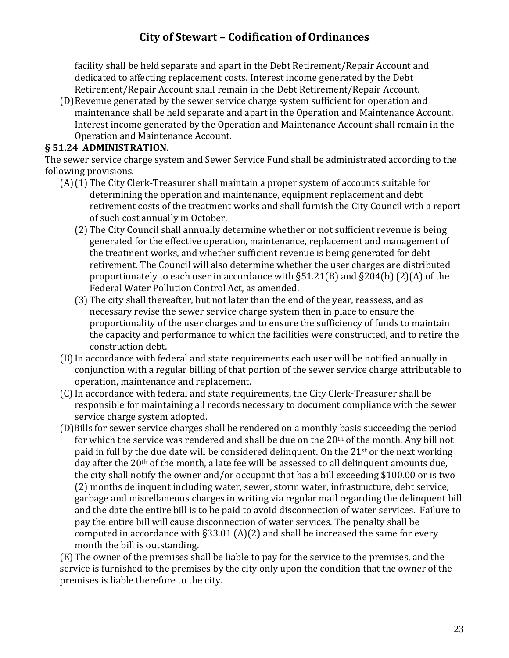facility shall be held separate and apart in the Debt Retirement/Repair Account and dedicated to affecting replacement costs. Interest income generated by the Debt Retirement/Repair Account shall remain in the Debt Retirement/Repair Account.

(D)Revenue generated by the sewer service charge system sufficient for operation and maintenance shall be held separate and apart in the Operation and Maintenance Account. Interest income generated by the Operation and Maintenance Account shall remain in the Operation and Maintenance Account.

#### **§ 51.24 ADMINISTRATION.**

The sewer service charge system and Sewer Service Fund shall be administrated according to the following provisions.

- (A)(1) The City Clerk-Treasurer shall maintain a proper system of accounts suitable for determining the operation and maintenance, equipment replacement and debt retirement costs of the treatment works and shall furnish the City Council with a report of such cost annually in October.
	- (2) The City Council shall annually determine whether or not sufficient revenue is being generated for the effective operation, maintenance, replacement and management of the treatment works, and whether sufficient revenue is being generated for debt retirement. The Council will also determine whether the user charges are distributed proportionately to each user in accordance with §51.21(B) and §204(b) (2)(A) of the Federal Water Pollution Control Act, as amended.
	- (3) The city shall thereafter, but not later than the end of the year, reassess, and as necessary revise the sewer service charge system then in place to ensure the proportionality of the user charges and to ensure the sufficiency of funds to maintain the capacity and performance to which the facilities were constructed, and to retire the construction debt.
- (B)In accordance with federal and state requirements each user will be notified annually in conjunction with a regular billing of that portion of the sewer service charge attributable to operation, maintenance and replacement.
- (C)In accordance with federal and state requirements, the City Clerk-Treasurer shall be responsible for maintaining all records necessary to document compliance with the sewer service charge system adopted.
- (D)Bills for sewer service charges shall be rendered on a monthly basis succeeding the period for which the service was rendered and shall be due on the  $20<sup>th</sup>$  of the month. Any bill not paid in full by the due date will be considered delinquent. On the  $21<sup>st</sup>$  or the next working day after the 20<sup>th</sup> of the month, a late fee will be assessed to all delinguent amounts due, the city shall notify the owner and/or occupant that has a bill exceeding \$100.00 or is two (2) months delinquent including water, sewer, storm water, infrastructure, debt service, garbage and miscellaneous charges in writing via regular mail regarding the delinquent bill and the date the entire bill is to be paid to avoid disconnection of water services. Failure to pay the entire bill will cause disconnection of water services. The penalty shall be computed in accordance with  $\S 33.01$  (A)(2) and shall be increased the same for every month the bill is outstanding.

(E) The owner of the premises shall be liable to pay for the service to the premises, and the service is furnished to the premises by the city only upon the condition that the owner of the premises is liable therefore to the city.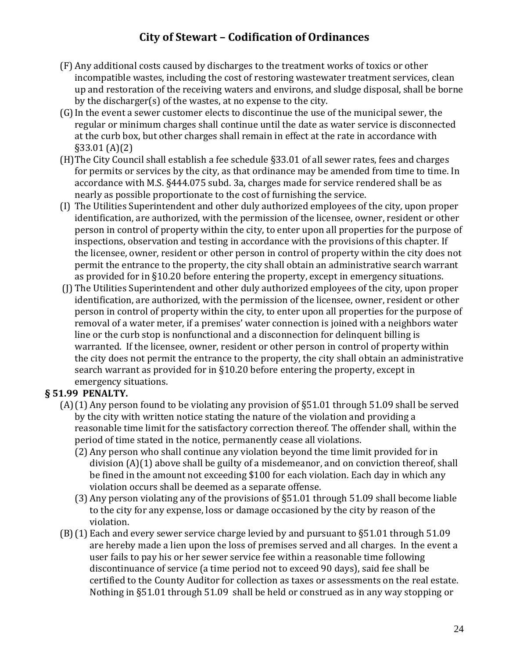- (F) Any additional costs caused by discharges to the treatment works of toxics or other incompatible wastes, including the cost of restoring wastewater treatment services, clean up and restoration of the receiving waters and environs, and sludge disposal, shall be borne by the discharger(s) of the wastes, at no expense to the city.
- (G)In the event a sewer customer elects to discontinue the use of the municipal sewer, the regular or minimum charges shall continue until the date as water service is disconnected at the curb box, but other charges shall remain in effect at the rate in accordance with §33.01 (A)(2)
- (H)The City Council shall establish a fee schedule §33.01 of all sewer rates, fees and charges for permits or services by the city, as that ordinance may be amended from time to time. In accordance with M.S. §444.075 subd. 3a, charges made for service rendered shall be as nearly as possible proportionate to the cost of furnishing the service.
- (I) The Utilities Superintendent and other duly authorized employees of the city, upon proper identification, are authorized, with the permission of the licensee, owner, resident or other person in control of property within the city, to enter upon all properties for the purpose of inspections, observation and testing in accordance with the provisions of this chapter. If the licensee, owner, resident or other person in control of property within the city does not permit the entrance to the property, the city shall obtain an administrative search warrant as provided for in §10.20 before entering the property, except in emergency situations.
- (J) The Utilities Superintendent and other duly authorized employees of the city, upon proper identification, are authorized, with the permission of the licensee, owner, resident or other person in control of property within the city, to enter upon all properties for the purpose of removal of a water meter, if a premises' water connection is joined with a neighbors water line or the curb stop is nonfunctional and a disconnection for delinquent billing is warranted. If the licensee, owner, resident or other person in control of property within the city does not permit the entrance to the property, the city shall obtain an administrative search warrant as provided for in §10.20 before entering the property, except in emergency situations.

### **§ 51.99 PENALTY.**

- (A)(1) Any person found to be violating any provision of §51.01 through 51.09 shall be served by the city with written notice stating the nature of the violation and providing a reasonable time limit for the satisfactory correction thereof. The offender shall, within the period of time stated in the notice, permanently cease all violations.
	- (2) Any person who shall continue any violation beyond the time limit provided for in division (A)(1) above shall be guilty of a misdemeanor, and on conviction thereof, shall be fined in the amount not exceeding \$100 for each violation. Each day in which any violation occurs shall be deemed as a separate offense.
	- (3) Any person violating any of the provisions of §51.01 through 51.09 shall become liable to the city for any expense, loss or damage occasioned by the city by reason of the violation.
- (B)(1) Each and every sewer service charge levied by and pursuant to §51.01 through 51.09 are hereby made a lien upon the loss of premises served and all charges. In the event a user fails to pay his or her sewer service fee within a reasonable time following discontinuance of service (a time period not to exceed 90 days), said fee shall be certified to the County Auditor for collection as taxes or assessments on the real estate. Nothing in §51.01 through 51.09 shall be held or construed as in any way stopping or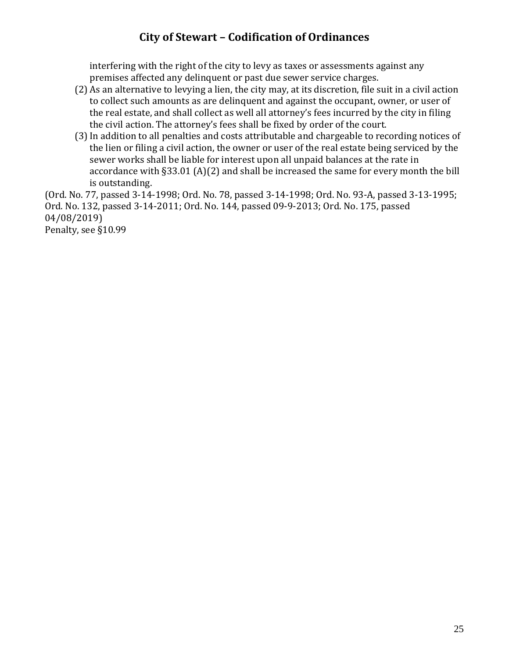interfering with the right of the city to levy as taxes or assessments against any premises affected any delinquent or past due sewer service charges.

- (2) As an alternative to levying a lien, the city may, at its discretion, file suit in a civil action to collect such amounts as are delinquent and against the occupant, owner, or user of the real estate, and shall collect as well all attorney's fees incurred by the city in filing the civil action. The attorney's fees shall be fixed by order of the court.
- (3)In addition to all penalties and costs attributable and chargeable to recording notices of the lien or filing a civil action, the owner or user of the real estate being serviced by the sewer works shall be liable for interest upon all unpaid balances at the rate in accordance with §33.01 (A)(2) and shall be increased the same for every month the bill is outstanding.

(Ord. No. 77, passed 3-14-1998; Ord. No. 78, passed 3-14-1998; Ord. No. 93-A, passed 3-13-1995; Ord. No. 132, passed 3-14-2011; Ord. No. 144, passed 09-9-2013; Ord. No. 175, passed 04/08/2019) Penalty, see §10.99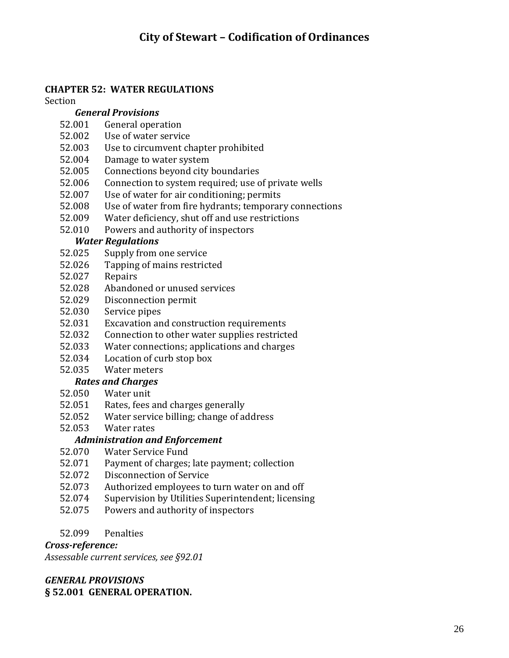### **CHAPTER 52: WATER REGULATIONS**

Section

#### *General Provisions*

- 52.001 General operation
- 52.002 Use of water service
- 52.003 Use to circumvent chapter prohibited
- 52.004 Damage to water system
- 52.005 Connections beyond city boundaries
- 52.006 Connection to system required; use of private wells
- 52.007 Use of water for air conditioning; permits
- 52.008 Use of water from fire hydrants; temporary connections
- 52.009 Water deficiency, shut off and use restrictions
- 52.010 Powers and authority of inspectors

#### *Water Regulations*

- 52.025 Supply from one service
- 52.026 Tapping of mains restricted
- 52.027 Repairs
- 52.028 Abandoned or unused services
- 52.029 Disconnection permit
- 52.030 Service pipes
- 52.031 Excavation and construction requirements
- 52.032 Connection to other water supplies restricted
- 52.033 Water connections; applications and charges
- 52.034 Location of curb stop box

## 52.035 Water meters

- *Rates and Charges*
- 52.050 Water unit
- 52.051 Rates, fees and charges generally
- 52.052 Water service billing; change of address
- 52.053 Water rates

### *Administration and Enforcement*

- 52.070 Water Service Fund
- 52.071 Payment of charges; late payment; collection
- 52.072 Disconnection of Service
- 52.073 Authorized employees to turn water on and off
- 52.074 Supervision by Utilities Superintendent; licensing
- 52.075 Powers and authority of inspectors
- 52.099 Penalties

### *Cross-reference:*

*Assessable current services, see §92.01*

#### *GENERAL PROVISIONS* **§ 52.001 GENERAL OPERATION.**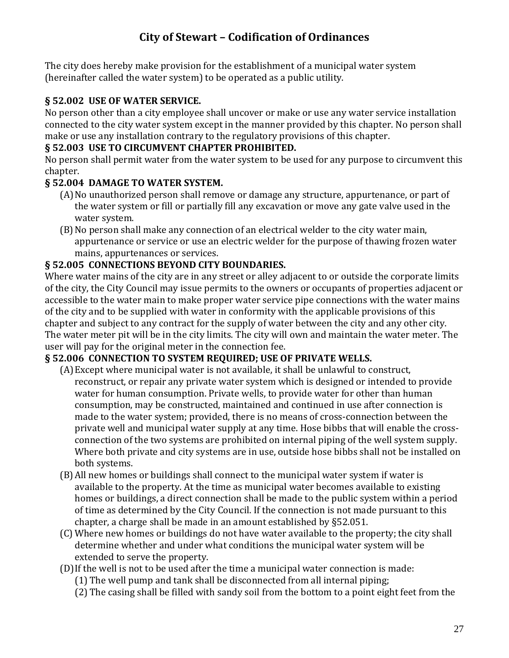The city does hereby make provision for the establishment of a municipal water system (hereinafter called the water system) to be operated as a public utility.

### **§ 52.002 USE OF WATER SERVICE.**

No person other than a city employee shall uncover or make or use any water service installation connected to the city water system except in the manner provided by this chapter. No person shall make or use any installation contrary to the regulatory provisions of this chapter.

### **§ 52.003 USE TO CIRCUMVENT CHAPTER PROHIBITED.**

No person shall permit water from the water system to be used for any purpose to circumvent this chapter.

### **§ 52.004 DAMAGE TO WATER SYSTEM.**

- (A) No unauthorized person shall remove or damage any structure, appurtenance, or part of the water system or fill or partially fill any excavation or move any gate valve used in the water system.
- (B)No person shall make any connection of an electrical welder to the city water main, appurtenance or service or use an electric welder for the purpose of thawing frozen water mains, appurtenances or services.

### **§ 52.005 CONNECTIONS BEYOND CITY BOUNDARIES.**

Where water mains of the city are in any street or alley adjacent to or outside the corporate limits of the city, the City Council may issue permits to the owners or occupants of properties adjacent or accessible to the water main to make proper water service pipe connections with the water mains of the city and to be supplied with water in conformity with the applicable provisions of this chapter and subject to any contract for the supply of water between the city and any other city. The water meter pit will be in the city limits. The city will own and maintain the water meter. The user will pay for the original meter in the connection fee.

### **§ 52.006 CONNECTION TO SYSTEM REQUIRED; USE OF PRIVATE WELLS.**

- (A)Except where municipal water is not available, it shall be unlawful to construct, reconstruct, or repair any private water system which is designed or intended to provide water for human consumption. Private wells, to provide water for other than human consumption, may be constructed, maintained and continued in use after connection is made to the water system; provided, there is no means of cross-connection between the private well and municipal water supply at any time. Hose bibbs that will enable the crossconnection of the two systems are prohibited on internal piping of the well system supply. Where both private and city systems are in use, outside hose bibbs shall not be installed on both systems.
- (B)All new homes or buildings shall connect to the municipal water system if water is available to the property. At the time as municipal water becomes available to existing homes or buildings, a direct connection shall be made to the public system within a period of time as determined by the City Council. If the connection is not made pursuant to this chapter, a charge shall be made in an amount established by §52.051.
- (C) Where new homes or buildings do not have water available to the property; the city shall determine whether and under what conditions the municipal water system will be extended to serve the property.
- (D)If the well is not to be used after the time a municipal water connection is made:
	- (1) The well pump and tank shall be disconnected from all internal piping;
	- (2) The casing shall be filled with sandy soil from the bottom to a point eight feet from the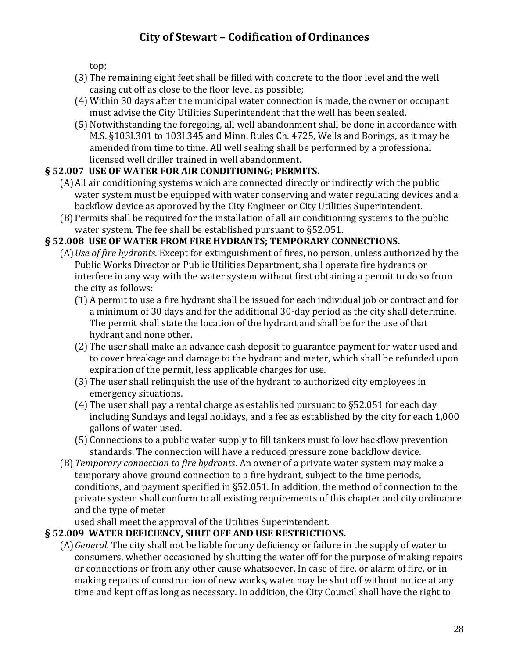top;

- (3) The remaining eight feet shall be filled with concrete to the floor level and the well casing cut off as close to the floor level as possible;
- (4) Within 30 days after the municipal water connection is made, the owner or occupant must advise the City Utilities Superintendent that the well has been sealed.
- (5) Notwithstanding the foregoing, all well abandonment shall be done in accordance with M.S. §103I.301 to 103I.345 and Minn. Rules Ch. 4725, Wells and Borings, as it may be amended from time to time. All well sealing shall be performed by a professional licensed well driller trained in well abandonment.

## **§ 52.007 USE OF WATER FOR AIR CONDITIONING; PERMITS.**

- (A)All air conditioning systems which are connected directly or indirectly with the public water system must be equipped with water conserving and water regulating devices and a backflow device as approved by the City Engineer or City Utilities Superintendent.
- (B)Permits shall be required for the installation of all air conditioning systems to the public water system. The fee shall be established pursuant to §52.051.

## **§ 52.008 USE OF WATER FROM FIRE HYDRANTS; TEMPORARY CONNECTIONS.**

- (A)*Use of fire hydrants*. Except for extinguishment of fires, no person, unless authorized by the Public Works Director or Public Utilities Department, shall operate fire hydrants or interfere in any way with the water system without first obtaining a permit to do so from the city as follows:
	- (1) A permit to use a fire hydrant shall be issued for each individual job or contract and for a minimum of 30 days and for the additional 30-day period as the city shall determine. The permit shall state the location of the hydrant and shall be for the use of that hydrant and none other.
	- (2) The user shall make an advance cash deposit to guarantee payment for water used and to cover breakage and damage to the hydrant and meter, which shall be refunded upon expiration of the permit, less applicable charges for use.
	- (3) The user shall relinquish the use of the hydrant to authorized city employees in emergency situations.
	- (4) The user shall pay a rental charge as established pursuant to §52.051 for each day including Sundays and legal holidays, and a fee as established by the city for each 1,000 gallons of water used.
	- (5) Connections to a public water supply to fill tankers must follow backflow prevention standards. The connection will have a reduced pressure zone backflow device.
- (B)*Temporary connection to fire hydrants*. An owner of a private water system may make a temporary above ground connection to a fire hydrant, subject to the time periods, conditions, and payment specified in §52.051. In addition, the method of connection to the private system shall conform to all existing requirements of this chapter and city ordinance and the type of meter

used shall meet the approval of the Utilities Superintendent.

## **§ 52.009 WATER DEFICIENCY, SHUT OFF AND USE RESTRICTIONS.**

(A)*General.* The city shall not be liable for any deficiency or failure in the supply of water to consumers, whether occasioned by shutting the water off for the purpose of making repairs or connections or from any other cause whatsoever. In case of fire, or alarm of fire, or in making repairs of construction of new works, water may be shut off without notice at any time and kept off as long as necessary. In addition, the City Council shall have the right to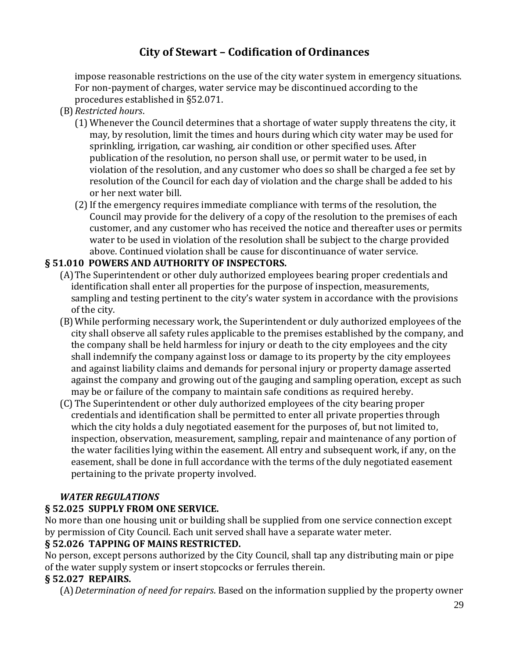impose reasonable restrictions on the use of the city water system in emergency situations. For non-payment of charges, water service may be discontinued according to the procedures established in §52.071.

- (B)*Restricted hours*.
	- (1) Whenever the Council determines that a shortage of water supply threatens the city, it may, by resolution, limit the times and hours during which city water may be used for sprinkling, irrigation, car washing, air condition or other specified uses. After publication of the resolution, no person shall use, or permit water to be used, in violation of the resolution, and any customer who does so shall be charged a fee set by resolution of the Council for each day of violation and the charge shall be added to his or her next water bill.
	- (2)If the emergency requires immediate compliance with terms of the resolution, the Council may provide for the delivery of a copy of the resolution to the premises of each customer, and any customer who has received the notice and thereafter uses or permits water to be used in violation of the resolution shall be subject to the charge provided above. Continued violation shall be cause for discontinuance of water service.

### **§ 51.010 POWERS AND AUTHORITY OF INSPECTORS.**

- (A)The Superintendent or other duly authorized employees bearing proper credentials and identification shall enter all properties for the purpose of inspection, measurements, sampling and testing pertinent to the city's water system in accordance with the provisions of the city.
- (B)While performing necessary work, the Superintendent or duly authorized employees of the city shall observe all safety rules applicable to the premises established by the company, and the company shall be held harmless for injury or death to the city employees and the city shall indemnify the company against loss or damage to its property by the city employees and against liability claims and demands for personal injury or property damage asserted against the company and growing out of the gauging and sampling operation, except as such may be or failure of the company to maintain safe conditions as required hereby.
- (C) The Superintendent or other duly authorized employees of the city bearing proper credentials and identification shall be permitted to enter all private properties through which the city holds a duly negotiated easement for the purposes of, but not limited to, inspection, observation, measurement, sampling, repair and maintenance of any portion of the water facilities lying within the easement. All entry and subsequent work, if any, on the easement, shall be done in full accordance with the terms of the duly negotiated easement pertaining to the private property involved.

### *WATER REGULATIONS*

#### **§ 52.025 SUPPLY FROM ONE SERVICE.**

No more than one housing unit or building shall be supplied from one service connection except by permission of City Council. Each unit served shall have a separate water meter.

### **§ 52.026 TAPPING OF MAINS RESTRICTED.**

No person, except persons authorized by the City Council, shall tap any distributing main or pipe of the water supply system or insert stopcocks or ferrules therein.

#### **§ 52.027 REPAIRS.**

(A)*Determination of need for repairs*. Based on the information supplied by the property owner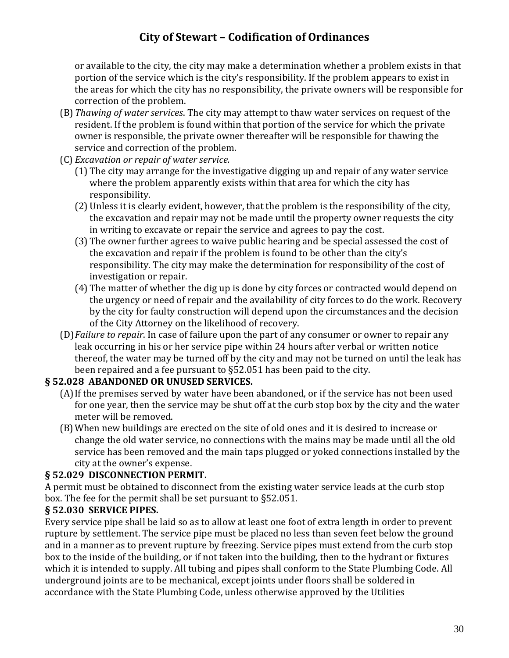or available to the city, the city may make a determination whether a problem exists in that portion of the service which is the city's responsibility. If the problem appears to exist in the areas for which the city has no responsibility, the private owners will be responsible for correction of the problem.

- (B)*Thawing of water services*. The city may attempt to thaw water services on request of the resident. If the problem is found within that portion of the service for which the private owner is responsible, the private owner thereafter will be responsible for thawing the service and correction of the problem.
- (C) *Excavation or repair of water service.*
	- (1) The city may arrange for the investigative digging up and repair of any water service where the problem apparently exists within that area for which the city has responsibility.
	- (2) Unless it is clearly evident, however, that the problem is the responsibility of the city, the excavation and repair may not be made until the property owner requests the city in writing to excavate or repair the service and agrees to pay the cost.
	- (3) The owner further agrees to waive public hearing and be special assessed the cost of the excavation and repair if the problem is found to be other than the city's responsibility. The city may make the determination for responsibility of the cost of investigation or repair.
	- (4) The matter of whether the dig up is done by city forces or contracted would depend on the urgency or need of repair and the availability of city forces to do the work. Recovery by the city for faulty construction will depend upon the circumstances and the decision of the City Attorney on the likelihood of recovery.
- (D)*Failure to repair*. In case of failure upon the part of any consumer or owner to repair any leak occurring in his or her service pipe within 24 hours after verbal or written notice thereof, the water may be turned off by the city and may not be turned on until the leak has been repaired and a fee pursuant to §52.051 has been paid to the city.

### **§ 52.028 ABANDONED OR UNUSED SERVICES.**

- (A)If the premises served by water have been abandoned, or if the service has not been used for one year, then the service may be shut off at the curb stop box by the city and the water meter will be removed.
- (B)When new buildings are erected on the site of old ones and it is desired to increase or change the old water service, no connections with the mains may be made until all the old service has been removed and the main taps plugged or yoked connections installed by the city at the owner's expense.

### **§ 52.029 DISCONNECTION PERMIT.**

A permit must be obtained to disconnect from the existing water service leads at the curb stop box. The fee for the permit shall be set pursuant to §52.051.

### **§ 52.030 SERVICE PIPES.**

Every service pipe shall be laid so as to allow at least one foot of extra length in order to prevent rupture by settlement. The service pipe must be placed no less than seven feet below the ground and in a manner as to prevent rupture by freezing. Service pipes must extend from the curb stop box to the inside of the building, or if not taken into the building, then to the hydrant or fixtures which it is intended to supply. All tubing and pipes shall conform to the State Plumbing Code. All underground joints are to be mechanical, except joints under floors shall be soldered in accordance with the State Plumbing Code, unless otherwise approved by the Utilities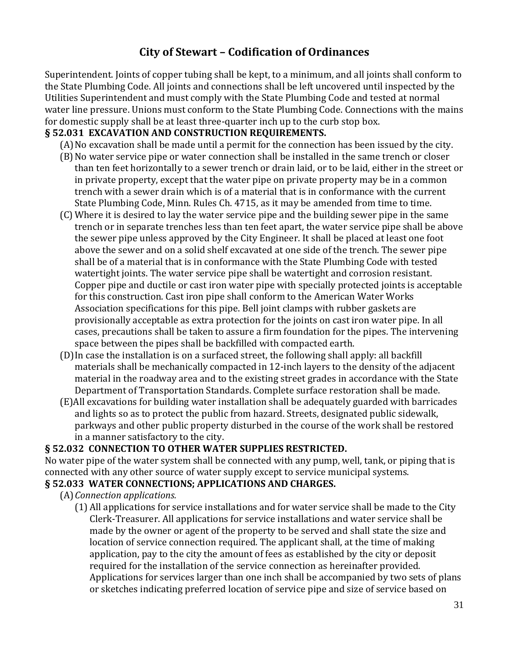Superintendent. Joints of copper tubing shall be kept, to a minimum, and all joints shall conform to the State Plumbing Code. All joints and connections shall be left uncovered until inspected by the Utilities Superintendent and must comply with the State Plumbing Code and tested at normal water line pressure. Unions must conform to the State Plumbing Code. Connections with the mains for domestic supply shall be at least three-quarter inch up to the curb stop box.

### **§ 52.031 EXCAVATION AND CONSTRUCTION REQUIREMENTS.**

- (A)No excavation shall be made until a permit for the connection has been issued by the city.
- (B)No water service pipe or water connection shall be installed in the same trench or closer than ten feet horizontally to a sewer trench or drain laid, or to be laid, either in the street or in private property, except that the water pipe on private property may be in a common trench with a sewer drain which is of a material that is in conformance with the current State Plumbing Code, Minn. Rules Ch. 4715, as it may be amended from time to time.
- (C) Where it is desired to lay the water service pipe and the building sewer pipe in the same trench or in separate trenches less than ten feet apart, the water service pipe shall be above the sewer pipe unless approved by the City Engineer. It shall be placed at least one foot above the sewer and on a solid shelf excavated at one side of the trench. The sewer pipe shall be of a material that is in conformance with the State Plumbing Code with tested watertight joints. The water service pipe shall be watertight and corrosion resistant. Copper pipe and ductile or cast iron water pipe with specially protected joints is acceptable for this construction. Cast iron pipe shall conform to the American Water Works Association specifications for this pipe. Bell joint clamps with rubber gaskets are provisionally acceptable as extra protection for the joints on cast iron water pipe. In all cases, precautions shall be taken to assure a firm foundation for the pipes. The intervening space between the pipes shall be backfilled with compacted earth.
- (D)In case the installation is on a surfaced street, the following shall apply: all backfill materials shall be mechanically compacted in 12-inch layers to the density of the adjacent material in the roadway area and to the existing street grades in accordance with the State Department of Transportation Standards. Complete surface restoration shall be made.
- (E)All excavations for building water installation shall be adequately guarded with barricades and lights so as to protect the public from hazard. Streets, designated public sidewalk, parkways and other public property disturbed in the course of the work shall be restored in a manner satisfactory to the city.

### **§ 52.032 CONNECTION TO OTHER WATER SUPPLIES RESTRICTED.**

No water pipe of the water system shall be connected with any pump, well, tank, or piping that is connected with any other source of water supply except to service municipal systems.

#### **§ 52.033 WATER CONNECTIONS; APPLICATIONS AND CHARGES.**

(A)*Connection applications.*

(1) All applications for service installations and for water service shall be made to the City Clerk-Treasurer. All applications for service installations and water service shall be made by the owner or agent of the property to be served and shall state the size and location of service connection required. The applicant shall, at the time of making application, pay to the city the amount of fees as established by the city or deposit required for the installation of the service connection as hereinafter provided. Applications for services larger than one inch shall be accompanied by two sets of plans or sketches indicating preferred location of service pipe and size of service based on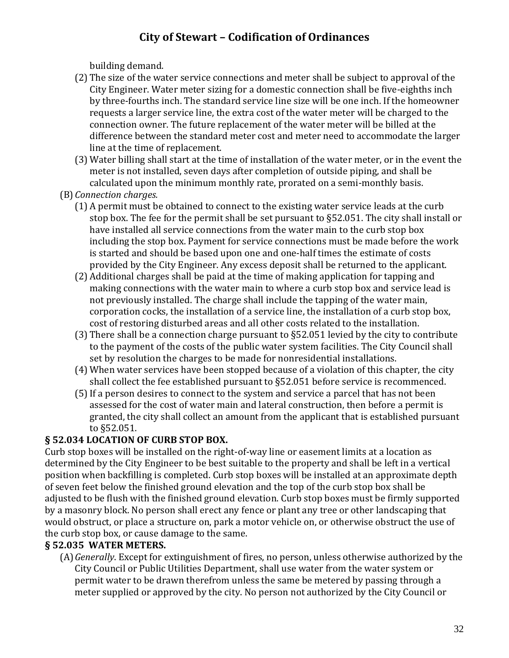building demand.

- (2) The size of the water service connections and meter shall be subject to approval of the City Engineer. Water meter sizing for a domestic connection shall be five-eighths inch by three-fourths inch. The standard service line size will be one inch. If the homeowner requests a larger service line, the extra cost of the water meter will be charged to the connection owner. The future replacement of the water meter will be billed at the difference between the standard meter cost and meter need to accommodate the larger line at the time of replacement.
- (3) Water billing shall start at the time of installation of the water meter, or in the event the meter is not installed, seven days after completion of outside piping, and shall be calculated upon the minimum monthly rate, prorated on a semi-monthly basis.
- (B)*Connection charges.*
	- (1) A permit must be obtained to connect to the existing water service leads at the curb stop box. The fee for the permit shall be set pursuant to §52.051. The city shall install or have installed all service connections from the water main to the curb stop box including the stop box. Payment for service connections must be made before the work is started and should be based upon one and one-half times the estimate of costs provided by the City Engineer. Any excess deposit shall be returned to the applicant.
	- (2) Additional charges shall be paid at the time of making application for tapping and making connections with the water main to where a curb stop box and service lead is not previously installed. The charge shall include the tapping of the water main, corporation cocks, the installation of a service line, the installation of a curb stop box, cost of restoring disturbed areas and all other costs related to the installation.
	- (3) There shall be a connection charge pursuant to §52.051 levied by the city to contribute to the payment of the costs of the public water system facilities. The City Council shall set by resolution the charges to be made for nonresidential installations.
	- (4) When water services have been stopped because of a violation of this chapter, the city shall collect the fee established pursuant to §52.051 before service is recommenced.
	- (5)If a person desires to connect to the system and service a parcel that has not been assessed for the cost of water main and lateral construction, then before a permit is granted, the city shall collect an amount from the applicant that is established pursuant to §52.051.

## **§ 52.034 LOCATION OF CURB STOP BOX.**

Curb stop boxes will be installed on the right-of-way line or easement limits at a location as determined by the City Engineer to be best suitable to the property and shall be left in a vertical position when backfilling is completed. Curb stop boxes will be installed at an approximate depth of seven feet below the finished ground elevation and the top of the curb stop box shall be adjusted to be flush with the finished ground elevation. Curb stop boxes must be firmly supported by a masonry block. No person shall erect any fence or plant any tree or other landscaping that would obstruct, or place a structure on, park a motor vehicle on, or otherwise obstruct the use of the curb stop box, or cause damage to the same.

## **§ 52.035 WATER METERS.**

(A)*Generally*. Except for extinguishment of fires, no person, unless otherwise authorized by the City Council or Public Utilities Department, shall use water from the water system or permit water to be drawn therefrom unless the same be metered by passing through a meter supplied or approved by the city. No person not authorized by the City Council or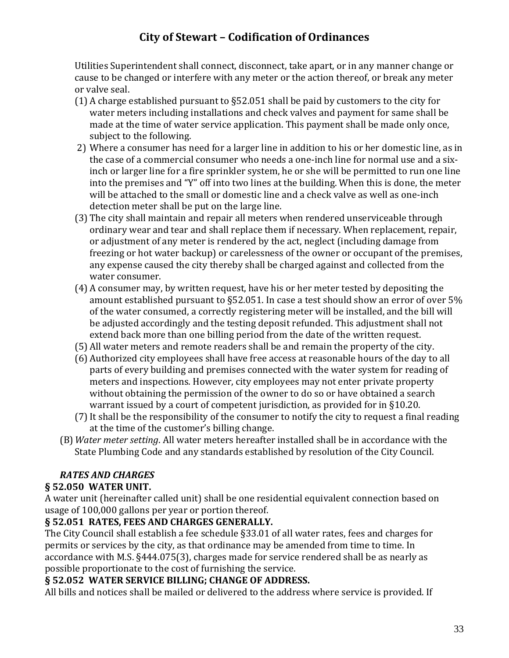Utilities Superintendent shall connect, disconnect, take apart, or in any manner change or cause to be changed or interfere with any meter or the action thereof, or break any meter or valve seal.

- (1) A charge established pursuant to §52.051 shall be paid by customers to the city for water meters including installations and check valves and payment for same shall be made at the time of water service application. This payment shall be made only once, subject to the following.
- 2) Where a consumer has need for a larger line in addition to his or her domestic line, as in the case of a commercial consumer who needs a one-inch line for normal use and a sixinch or larger line for a fire sprinkler system, he or she will be permitted to run one line into the premises and "Y" off into two lines at the building. When this is done, the meter will be attached to the small or domestic line and a check valve as well as one-inch detection meter shall be put on the large line.
- (3) The city shall maintain and repair all meters when rendered unserviceable through ordinary wear and tear and shall replace them if necessary. When replacement, repair, or adjustment of any meter is rendered by the act, neglect (including damage from freezing or hot water backup) or carelessness of the owner or occupant of the premises, any expense caused the city thereby shall be charged against and collected from the water consumer.
- (4) A consumer may, by written request, have his or her meter tested by depositing the amount established pursuant to §52.051. In case a test should show an error of over 5% of the water consumed, a correctly registering meter will be installed, and the bill will be adjusted accordingly and the testing deposit refunded. This adjustment shall not extend back more than one billing period from the date of the written request.
- (5) All water meters and remote readers shall be and remain the property of the city.
- (6) Authorized city employees shall have free access at reasonable hours of the day to all parts of every building and premises connected with the water system for reading of meters and inspections. However, city employees may not enter private property without obtaining the permission of the owner to do so or have obtained a search warrant issued by a court of competent jurisdiction, as provided for in §10.20.
- (7)It shall be the responsibility of the consumer to notify the city to request a final reading at the time of the customer's billing change.
- (B)*Water meter setting*. All water meters hereafter installed shall be in accordance with the State Plumbing Code and any standards established by resolution of the City Council.

## *RATES AND CHARGES*

## **§ 52.050 WATER UNIT.**

A water unit (hereinafter called unit) shall be one residential equivalent connection based on usage of 100,000 gallons per year or portion thereof.

### **§ 52.051 RATES, FEES AND CHARGES GENERALLY.**

The City Council shall establish a fee schedule §33.01 of all water rates, fees and charges for permits or services by the city, as that ordinance may be amended from time to time. In accordance with M.S. §444.075(3), charges made for service rendered shall be as nearly as possible proportionate to the cost of furnishing the service.

### **§ 52.052 WATER SERVICE BILLING; CHANGE OF ADDRESS.**

All bills and notices shall be mailed or delivered to the address where service is provided. If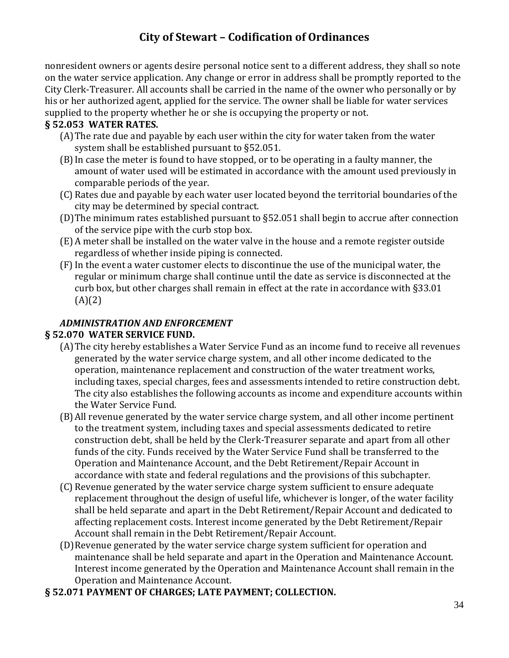nonresident owners or agents desire personal notice sent to a different address, they shall so note on the water service application. Any change or error in address shall be promptly reported to the City Clerk-Treasurer. All accounts shall be carried in the name of the owner who personally or by his or her authorized agent, applied for the service. The owner shall be liable for water services supplied to the property whether he or she is occupying the property or not.

### **§ 52.053 WATER RATES.**

- (A)The rate due and payable by each user within the city for water taken from the water system shall be established pursuant to §52.051.
- (B)In case the meter is found to have stopped, or to be operating in a faulty manner, the amount of water used will be estimated in accordance with the amount used previously in comparable periods of the year.
- (C) Rates due and payable by each water user located beyond the territorial boundaries of the city may be determined by special contract.
- (D)The minimum rates established pursuant to §52.051 shall begin to accrue after connection of the service pipe with the curb stop box.
- (E) A meter shall be installed on the water valve in the house and a remote register outside regardless of whether inside piping is connected.
- (F) In the event a water customer elects to discontinue the use of the municipal water, the regular or minimum charge shall continue until the date as service is disconnected at the curb box, but other charges shall remain in effect at the rate in accordance with §33.01  $(A)(2)$

### *ADMINISTRATION AND ENFORCEMENT*

### **§ 52.070 WATER SERVICE FUND.**

- (A)The city hereby establishes a Water Service Fund as an income fund to receive all revenues generated by the water service charge system, and all other income dedicated to the operation, maintenance replacement and construction of the water treatment works, including taxes, special charges, fees and assessments intended to retire construction debt. The city also establishes the following accounts as income and expenditure accounts within the Water Service Fund.
- (B)All revenue generated by the water service charge system, and all other income pertinent to the treatment system, including taxes and special assessments dedicated to retire construction debt, shall be held by the Clerk-Treasurer separate and apart from all other funds of the city. Funds received by the Water Service Fund shall be transferred to the Operation and Maintenance Account, and the Debt Retirement/Repair Account in accordance with state and federal regulations and the provisions of this subchapter.
- (C) Revenue generated by the water service charge system sufficient to ensure adequate replacement throughout the design of useful life, whichever is longer, of the water facility shall be held separate and apart in the Debt Retirement/Repair Account and dedicated to affecting replacement costs. Interest income generated by the Debt Retirement/Repair Account shall remain in the Debt Retirement/Repair Account.
- (D)Revenue generated by the water service charge system sufficient for operation and maintenance shall be held separate and apart in the Operation and Maintenance Account. Interest income generated by the Operation and Maintenance Account shall remain in the Operation and Maintenance Account.
- **§ 52.071 PAYMENT OF CHARGES; LATE PAYMENT; COLLECTION.**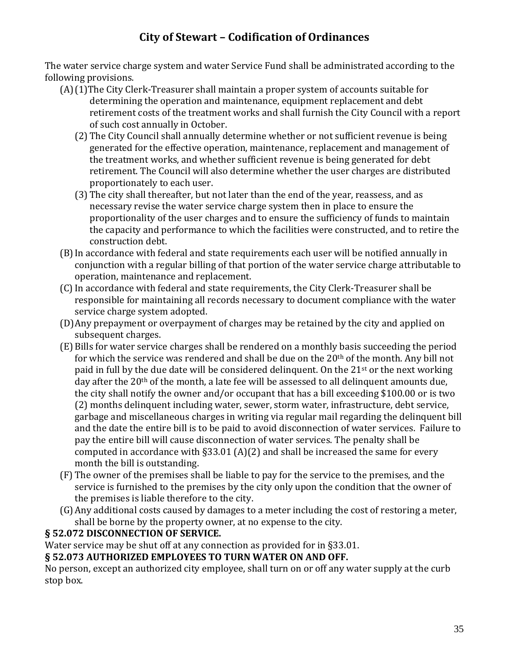The water service charge system and water Service Fund shall be administrated according to the following provisions.

- (A)(1)The City Clerk-Treasurer shall maintain a proper system of accounts suitable for determining the operation and maintenance, equipment replacement and debt retirement costs of the treatment works and shall furnish the City Council with a report of such cost annually in October.
	- (2) The City Council shall annually determine whether or not sufficient revenue is being generated for the effective operation, maintenance, replacement and management of the treatment works, and whether sufficient revenue is being generated for debt retirement. The Council will also determine whether the user charges are distributed proportionately to each user.
	- (3) The city shall thereafter, but not later than the end of the year, reassess, and as necessary revise the water service charge system then in place to ensure the proportionality of the user charges and to ensure the sufficiency of funds to maintain the capacity and performance to which the facilities were constructed, and to retire the construction debt.
- (B)In accordance with federal and state requirements each user will be notified annually in conjunction with a regular billing of that portion of the water service charge attributable to operation, maintenance and replacement.
- (C)In accordance with federal and state requirements, the City Clerk-Treasurer shall be responsible for maintaining all records necessary to document compliance with the water service charge system adopted.
- (D)Any prepayment or overpayment of charges may be retained by the city and applied on subsequent charges.
- (E) Bills for water service charges shall be rendered on a monthly basis succeeding the period for which the service was rendered and shall be due on the  $20<sup>th</sup>$  of the month. Any bill not paid in full by the due date will be considered delinquent. On the 21<sup>st</sup> or the next working day after the 20<sup>th</sup> of the month, a late fee will be assessed to all delinquent amounts due, the city shall notify the owner and/or occupant that has a bill exceeding \$100.00 or is two (2) months delinquent including water, sewer, storm water, infrastructure, debt service, garbage and miscellaneous charges in writing via regular mail regarding the delinquent bill and the date the entire bill is to be paid to avoid disconnection of water services. Failure to pay the entire bill will cause disconnection of water services. The penalty shall be computed in accordance with  $\S 33.01$  (A)(2) and shall be increased the same for every month the bill is outstanding.
- (F) The owner of the premises shall be liable to pay for the service to the premises, and the service is furnished to the premises by the city only upon the condition that the owner of the premises is liable therefore to the city.
- (G)Any additional costs caused by damages to a meter including the cost of restoring a meter, shall be borne by the property owner, at no expense to the city.

### **§ 52.072 DISCONNECTION OF SERVICE.**

Water service may be shut off at any connection as provided for in §33.01.

### **§ 52.073 AUTHORIZED EMPLOYEES TO TURN WATER ON AND OFF.**

No person, except an authorized city employee, shall turn on or off any water supply at the curb stop box.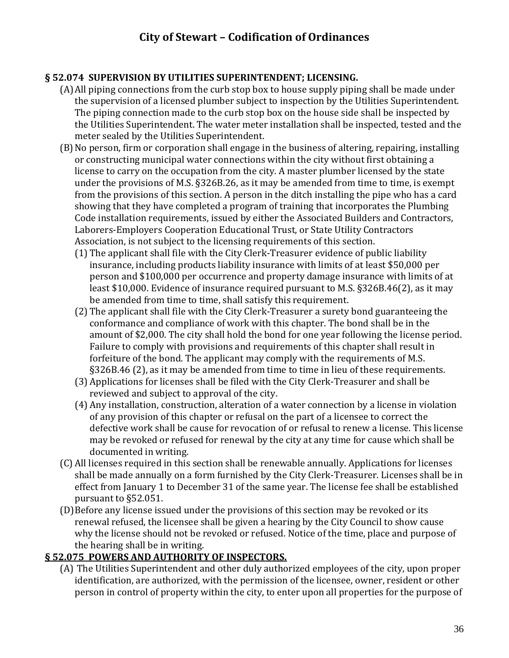### **§ 52.074 SUPERVISION BY UTILITIES SUPERINTENDENT; LICENSING.**

- (A)All piping connections from the curb stop box to house supply piping shall be made under the supervision of a licensed plumber subject to inspection by the Utilities Superintendent. The piping connection made to the curb stop box on the house side shall be inspected by the Utilities Superintendent. The water meter installation shall be inspected, tested and the meter sealed by the Utilities Superintendent.
- (B)No person, firm or corporation shall engage in the business of altering, repairing, installing or constructing municipal water connections within the city without first obtaining a license to carry on the occupation from the city. A master plumber licensed by the state under the provisions of M.S. §326B.26, as it may be amended from time to time, is exempt from the provisions of this section. A person in the ditch installing the pipe who has a card showing that they have completed a program of training that incorporates the Plumbing Code installation requirements, issued by either the Associated Builders and Contractors, Laborers-Employers Cooperation Educational Trust, or State Utility Contractors Association, is not subject to the licensing requirements of this section.
	- (1) The applicant shall file with the City Clerk-Treasurer evidence of public liability insurance, including products liability insurance with limits of at least \$50,000 per person and \$100,000 per occurrence and property damage insurance with limits of at least \$10,000. Evidence of insurance required pursuant to M.S. §326B.46(2), as it may be amended from time to time, shall satisfy this requirement.
	- (2) The applicant shall file with the City Clerk-Treasurer a surety bond guaranteeing the conformance and compliance of work with this chapter. The bond shall be in the amount of \$2,000. The city shall hold the bond for one year following the license period. Failure to comply with provisions and requirements of this chapter shall result in forfeiture of the bond. The applicant may comply with the requirements of M.S. §326B.46 (2), as it may be amended from time to time in lieu of these requirements.
	- (3) Applications for licenses shall be filed with the City Clerk-Treasurer and shall be reviewed and subject to approval of the city.
	- (4) Any installation, construction, alteration of a water connection by a license in violation of any provision of this chapter or refusal on the part of a licensee to correct the defective work shall be cause for revocation of or refusal to renew a license. This license may be revoked or refused for renewal by the city at any time for cause which shall be documented in writing.
- (C) All licenses required in this section shall be renewable annually. Applications for licenses shall be made annually on a form furnished by the City Clerk-Treasurer. Licenses shall be in effect from January 1 to December 31 of the same year. The license fee shall be established pursuant to §52.051.
- (D)Before any license issued under the provisions of this section may be revoked or its renewal refused, the licensee shall be given a hearing by the City Council to show cause why the license should not be revoked or refused. Notice of the time, place and purpose of the hearing shall be in writing.

### **§ 52.075 POWERS AND AUTHORITY OF INSPECTORS.**

(A) The Utilities Superintendent and other duly authorized employees of the city, upon proper identification, are authorized, with the permission of the licensee, owner, resident or other person in control of property within the city, to enter upon all properties for the purpose of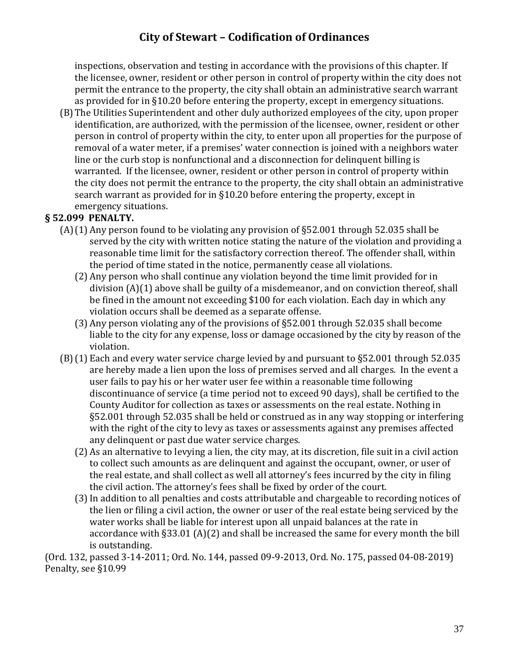inspections, observation and testing in accordance with the provisions of this chapter. If the licensee, owner, resident or other person in control of property within the city does not permit the entrance to the property, the city shall obtain an administrative search warrant as provided for in §10.20 before entering the property, except in emergency situations.

(B)The Utilities Superintendent and other duly authorized employees of the city, upon proper identification, are authorized, with the permission of the licensee, owner, resident or other person in control of property within the city, to enter upon all properties for the purpose of removal of a water meter, if a premises' water connection is joined with a neighbors water line or the curb stop is nonfunctional and a disconnection for delinquent billing is warranted. If the licensee, owner, resident or other person in control of property within the city does not permit the entrance to the property, the city shall obtain an administrative search warrant as provided for in §10.20 before entering the property, except in emergency situations.

### **§ 52.099 PENALTY.**

- (A)(1) Any person found to be violating any provision of §52.001 through 52.035 shall be served by the city with written notice stating the nature of the violation and providing a reasonable time limit for the satisfactory correction thereof. The offender shall, within the period of time stated in the notice, permanently cease all violations.
	- (2) Any person who shall continue any violation beyond the time limit provided for in division (A)(1) above shall be guilty of a misdemeanor, and on conviction thereof, shall be fined in the amount not exceeding \$100 for each violation. Each day in which any violation occurs shall be deemed as a separate offense.
	- (3) Any person violating any of the provisions of §52.001 through 52.035 shall become liable to the city for any expense, loss or damage occasioned by the city by reason of the violation.
- (B)(1) Each and every water service charge levied by and pursuant to §52.001 through 52.035 are hereby made a lien upon the loss of premises served and all charges. In the event a user fails to pay his or her water user fee within a reasonable time following discontinuance of service (a time period not to exceed 90 days), shall be certified to the County Auditor for collection as taxes or assessments on the real estate. Nothing in §52.001 through 52.035 shall be held or construed as in any way stopping or interfering with the right of the city to levy as taxes or assessments against any premises affected any delinquent or past due water service charges.
	- (2) As an alternative to levying a lien, the city may, at its discretion, file suit in a civil action to collect such amounts as are delinquent and against the occupant, owner, or user of the real estate, and shall collect as well all attorney's fees incurred by the city in filing the civil action. The attorney's fees shall be fixed by order of the court.
	- (3)In addition to all penalties and costs attributable and chargeable to recording notices of the lien or filing a civil action, the owner or user of the real estate being serviced by the water works shall be liable for interest upon all unpaid balances at the rate in accordance with §33.01 (A)(2) and shall be increased the same for every month the bill is outstanding.

(Ord. 132, passed 3-14-2011; Ord. No. 144, passed 09-9-2013, Ord. No. 175, passed 04-08-2019) Penalty, see §10.99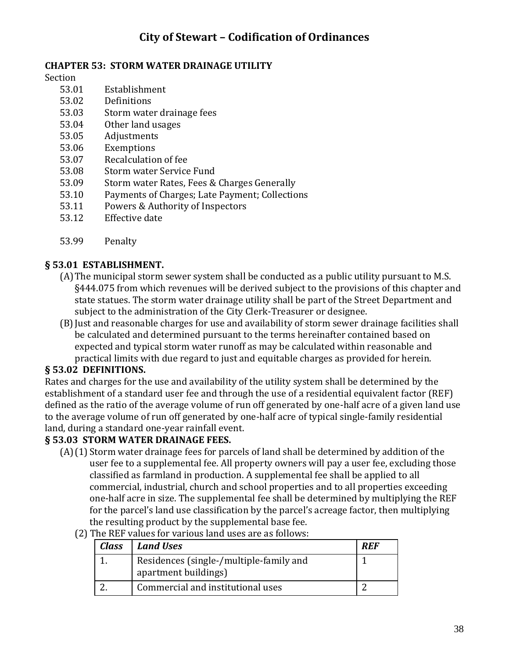#### **CHAPTER 53: STORM WATER DRAINAGE UTILITY**

Section

- 53.01 Establishment
- 53.02 Definitions
- 53.03 Storm water drainage fees
- 53.04 Other land usages
- 53.05 Adjustments
- 53.06 Exemptions
- 53.07 Recalculation of fee
- 53.08 Storm water Service Fund
- 53.09 Storm water Rates, Fees & Charges Generally
- 53.10 Payments of Charges; Late Payment; Collections
- 53.11 Powers & Authority of Inspectors
- 53.12 Effective date
- 53.99 Penalty

#### **§ 53.01 ESTABLISHMENT.**

- (A)The municipal storm sewer system shall be conducted as a public utility pursuant to M.S. §444.075 from which revenues will be derived subject to the provisions of this chapter and state statues. The storm water drainage utility shall be part of the Street Department and subject to the administration of the City Clerk-Treasurer or designee.
- (B)Just and reasonable charges for use and availability of storm sewer drainage facilities shall be calculated and determined pursuant to the terms hereinafter contained based on expected and typical storm water runoff as may be calculated within reasonable and practical limits with due regard to just and equitable charges as provided for herein.

#### **§ 53.02 DEFINITIONS.**

Rates and charges for the use and availability of the utility system shall be determined by the establishment of a standard user fee and through the use of a residential equivalent factor (REF) defined as the ratio of the average volume of run off generated by one-half acre of a given land use to the average volume of run off generated by one-half acre of typical single-family residential land, during a standard one-year rainfall event.

#### **§ 53.03 STORM WATER DRAINAGE FEES.**

(A)(1) Storm water drainage fees for parcels of land shall be determined by addition of the user fee to a supplemental fee. All property owners will pay a user fee, excluding those classified as farmland in production. A supplemental fee shall be applied to all commercial, industrial, church and school properties and to all properties exceeding one-half acre in size. The supplemental fee shall be determined by multiplying the REF for the parcel's land use classification by the parcel's acreage factor, then multiplying the resulting product by the supplemental base fee.

#### (2) The REF values for various land uses are as follows:

| <b>Class</b> | <b>Land Uses</b>                                                | RFF |
|--------------|-----------------------------------------------------------------|-----|
|              | Residences (single-/multiple-family and<br>apartment buildings) |     |
|              | Commercial and institutional uses                               |     |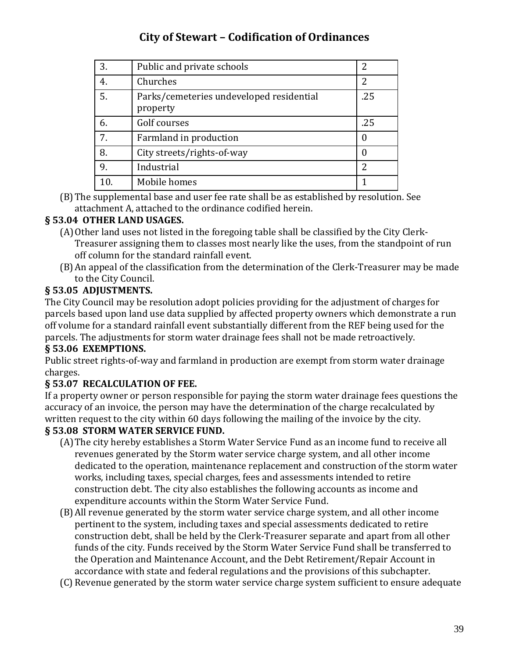| 3. | Public and private schools                           | 2   |
|----|------------------------------------------------------|-----|
| 4. | Churches                                             | 2   |
| 5. | Parks/cemeteries undeveloped residential<br>property | .25 |
| 6. | Golf courses                                         | .25 |
| 7. | Farmland in production                               | 0   |
| 8. | City streets/rights-of-way                           |     |
| 9. | Industrial                                           | 2   |
|    | Mobile homes                                         |     |

(B)The supplemental base and user fee rate shall be as established by resolution. See attachment A, attached to the ordinance codified herein.

## **§ 53.04 OTHER LAND USAGES.**

- (A)Other land uses not listed in the foregoing table shall be classified by the City Clerk-Treasurer assigning them to classes most nearly like the uses, from the standpoint of run off column for the standard rainfall event.
- (B)An appeal of the classification from the determination of the Clerk-Treasurer may be made to the City Council.

### **§ 53.05 ADJUSTMENTS.**

The City Council may be resolution adopt policies providing for the adjustment of charges for parcels based upon land use data supplied by affected property owners which demonstrate a run off volume for a standard rainfall event substantially different from the REF being used for the parcels. The adjustments for storm water drainage fees shall not be made retroactively.

### **§ 53.06 EXEMPTIONS.**

Public street rights-of-way and farmland in production are exempt from storm water drainage charges.

### **§ 53.07 RECALCULATION OF FEE.**

If a property owner or person responsible for paying the storm water drainage fees questions the accuracy of an invoice, the person may have the determination of the charge recalculated by written request to the city within 60 days following the mailing of the invoice by the city.

### **§ 53.08 STORM WATER SERVICE FUND.**

- (A)The city hereby establishes a Storm Water Service Fund as an income fund to receive all revenues generated by the Storm water service charge system, and all other income dedicated to the operation, maintenance replacement and construction of the storm water works, including taxes, special charges, fees and assessments intended to retire construction debt. The city also establishes the following accounts as income and expenditure accounts within the Storm Water Service Fund.
- (B)All revenue generated by the storm water service charge system, and all other income pertinent to the system, including taxes and special assessments dedicated to retire construction debt, shall be held by the Clerk-Treasurer separate and apart from all other funds of the city. Funds received by the Storm Water Service Fund shall be transferred to the Operation and Maintenance Account, and the Debt Retirement/Repair Account in accordance with state and federal regulations and the provisions of this subchapter.
- (C) Revenue generated by the storm water service charge system sufficient to ensure adequate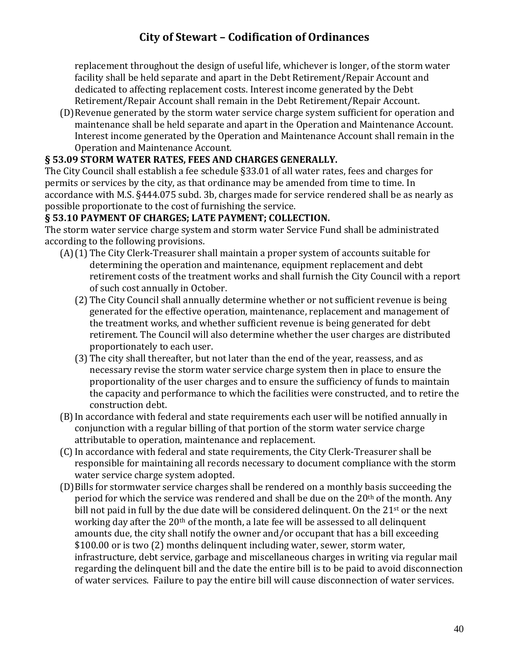replacement throughout the design of useful life, whichever is longer, of the storm water facility shall be held separate and apart in the Debt Retirement/Repair Account and dedicated to affecting replacement costs. Interest income generated by the Debt Retirement/Repair Account shall remain in the Debt Retirement/Repair Account.

(D)Revenue generated by the storm water service charge system sufficient for operation and maintenance shall be held separate and apart in the Operation and Maintenance Account. Interest income generated by the Operation and Maintenance Account shall remain in the Operation and Maintenance Account.

### **§ 53.09 STORM WATER RATES, FEES AND CHARGES GENERALLY.**

The City Council shall establish a fee schedule §33.01 of all water rates, fees and charges for permits or services by the city, as that ordinance may be amended from time to time. In accordance with M.S. §444.075 subd. 3b, charges made for service rendered shall be as nearly as possible proportionate to the cost of furnishing the service.

### **§ 53.10 PAYMENT OF CHARGES; LATE PAYMENT; COLLECTION.**

The storm water service charge system and storm water Service Fund shall be administrated according to the following provisions.

- (A)(1) The City Clerk-Treasurer shall maintain a proper system of accounts suitable for determining the operation and maintenance, equipment replacement and debt retirement costs of the treatment works and shall furnish the City Council with a report of such cost annually in October.
	- (2) The City Council shall annually determine whether or not sufficient revenue is being generated for the effective operation, maintenance, replacement and management of the treatment works, and whether sufficient revenue is being generated for debt retirement. The Council will also determine whether the user charges are distributed proportionately to each user.
	- (3) The city shall thereafter, but not later than the end of the year, reassess, and as necessary revise the storm water service charge system then in place to ensure the proportionality of the user charges and to ensure the sufficiency of funds to maintain the capacity and performance to which the facilities were constructed, and to retire the construction debt.
- (B)In accordance with federal and state requirements each user will be notified annually in conjunction with a regular billing of that portion of the storm water service charge attributable to operation, maintenance and replacement.
- (C)In accordance with federal and state requirements, the City Clerk-Treasurer shall be responsible for maintaining all records necessary to document compliance with the storm water service charge system adopted.
- (D)Bills for stormwater service charges shall be rendered on a monthly basis succeeding the period for which the service was rendered and shall be due on the 20<sup>th</sup> of the month. Any bill not paid in full by the due date will be considered delinquent. On the 21<sup>st</sup> or the next working day after the 20<sup>th</sup> of the month, a late fee will be assessed to all delinquent amounts due, the city shall notify the owner and/or occupant that has a bill exceeding \$100.00 or is two (2) months delinquent including water, sewer, storm water, infrastructure, debt service, garbage and miscellaneous charges in writing via regular mail regarding the delinquent bill and the date the entire bill is to be paid to avoid disconnection of water services. Failure to pay the entire bill will cause disconnection of water services.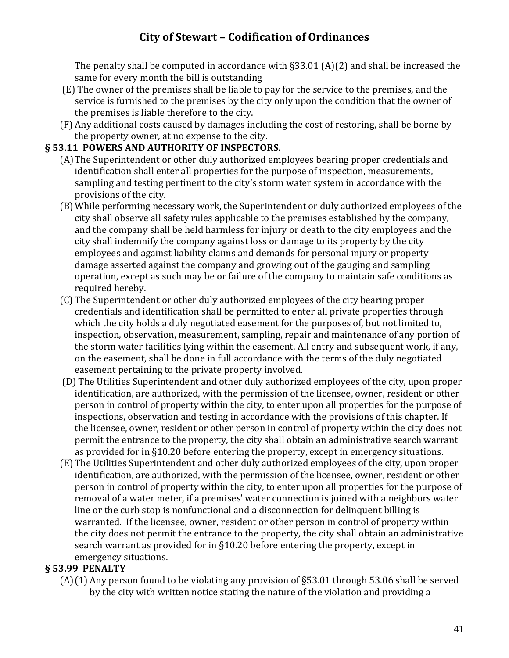The penalty shall be computed in accordance with §33.01 (A)(2) and shall be increased the same for every month the bill is outstanding

- (E) The owner of the premises shall be liable to pay for the service to the premises, and the service is furnished to the premises by the city only upon the condition that the owner of the premises is liable therefore to the city.
- (F) Any additional costs caused by damages including the cost of restoring, shall be borne by the property owner, at no expense to the city.

### **§ 53.11 POWERS AND AUTHORITY OF INSPECTORS.**

- (A)The Superintendent or other duly authorized employees bearing proper credentials and identification shall enter all properties for the purpose of inspection, measurements, sampling and testing pertinent to the city's storm water system in accordance with the provisions of the city.
- (B)While performing necessary work, the Superintendent or duly authorized employees of the city shall observe all safety rules applicable to the premises established by the company, and the company shall be held harmless for injury or death to the city employees and the city shall indemnify the company against loss or damage to its property by the city employees and against liability claims and demands for personal injury or property damage asserted against the company and growing out of the gauging and sampling operation, except as such may be or failure of the company to maintain safe conditions as required hereby.
- (C) The Superintendent or other duly authorized employees of the city bearing proper credentials and identification shall be permitted to enter all private properties through which the city holds a duly negotiated easement for the purposes of, but not limited to, inspection, observation, measurement, sampling, repair and maintenance of any portion of the storm water facilities lying within the easement. All entry and subsequent work, if any, on the easement, shall be done in full accordance with the terms of the duly negotiated easement pertaining to the private property involved.
- (D) The Utilities Superintendent and other duly authorized employees of the city, upon proper identification, are authorized, with the permission of the licensee, owner, resident or other person in control of property within the city, to enter upon all properties for the purpose of inspections, observation and testing in accordance with the provisions of this chapter. If the licensee, owner, resident or other person in control of property within the city does not permit the entrance to the property, the city shall obtain an administrative search warrant as provided for in §10.20 before entering the property, except in emergency situations.
- (E) The Utilities Superintendent and other duly authorized employees of the city, upon proper identification, are authorized, with the permission of the licensee, owner, resident or other person in control of property within the city, to enter upon all properties for the purpose of removal of a water meter, if a premises' water connection is joined with a neighbors water line or the curb stop is nonfunctional and a disconnection for delinquent billing is warranted. If the licensee, owner, resident or other person in control of property within the city does not permit the entrance to the property, the city shall obtain an administrative search warrant as provided for in §10.20 before entering the property, except in emergency situations.

### **§ 53.99 PENALTY**

(A)(1) Any person found to be violating any provision of §53.01 through 53.06 shall be served by the city with written notice stating the nature of the violation and providing a